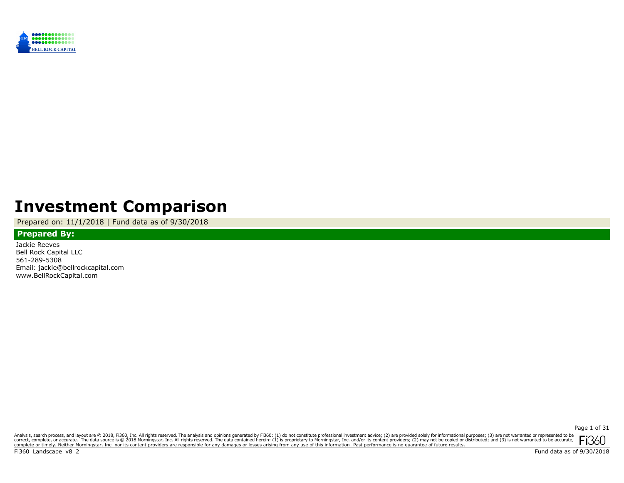

# **Investment Comparison**

Prepared on: 11/1/2018 | Fund data as of 9/30/2018

## **Prepared By:**

Jackie Reeves Bell Rock Capital LLC 561-289-5308 Email: jackie@bellrockcapital.com www.BellRockCapital.com

Page 1 of 31

Analysis, search process, and layout are @ 2018, Fi360, Inc. All rights reserved. The analysis and opinions generated by Fi360: (1) do not constitute professional investment advice; (2) are provided solely for informationa **Fi**360 correct, complete, or accurate. The data source is © 2018 Morningstar, Inc. All rights reserved. The data contained herein: (1) is proprietary to Morningstar, Inc. and/or its content providers, (2) may not be copied or dis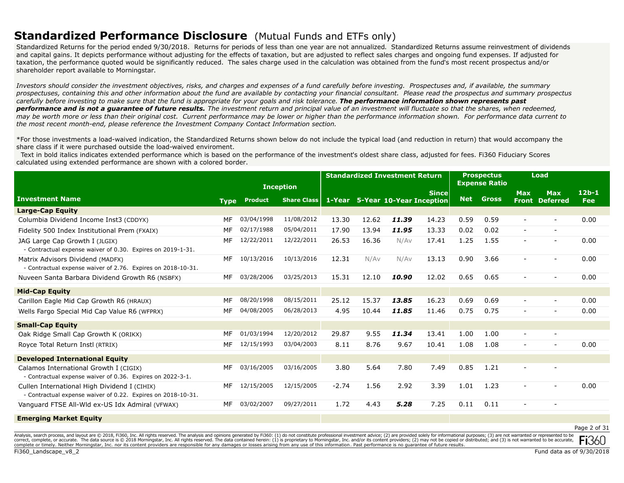## **Standardized Performance Disclosure** (Mutual Funds and ETFs only)

Standardized Returns for the period ended 9/30/2018. Returns for periods of less than one year are not annualized. Standardized Returns assume reinvestment of dividends and capital gains. It depicts performance without adjusting for the effects of taxation, but are adjusted to reflect sales charges and ongoing fund expenses. If adjusted for taxation, the performance quoted would be significantly reduced. The sales charge used in the calculation was obtained from the fund's most recent prospectus and/or shareholder report available to Morningstar.

*Investors should consider the investment objectives, risks, and charges and expenses of a fund carefully before investing. Prospectuses and, if available, the summary*  prospectuses, containing this and other information about the fund are available by contacting your financial consultant. Please read the prospectus and summary prospectus *carefully before investing to make sure that the fund is appropriate for your goals and risk tolerance. The performance information shown represents past performance and is not a guarantee of future results. The investment return and principal value of an investment will fluctuate so that the shares, when redeemed, may be worth more or less than their original cost. Current performance may be lower or higher than the performance information shown. For performance data current to the most recent month-end, please reference the Investment Company Contact Information section.*

\*For those investments a load-waived indication, the Standardized Returns shown below do not include the typical load (and reduction in return) that would accompany the share class if it were purchased outside the load-waived enviroment.

 Text in bold italics indicates extended performance which is based on the performance of the investment's oldest share class, adjusted for fees. Fi360 Fiduciary Scores calculated using extended performance are shown with a colored border.

|                                                                                                              |             |                | <b>Inception</b>   |         | <b>Standardized Investment Return</b> |       |                                                 |            | <b>Prospectus</b><br><b>Expense Ratio</b> |                          | Load                                |                       |
|--------------------------------------------------------------------------------------------------------------|-------------|----------------|--------------------|---------|---------------------------------------|-------|-------------------------------------------------|------------|-------------------------------------------|--------------------------|-------------------------------------|-----------------------|
| <b>Investment Name</b>                                                                                       | <b>Type</b> | <b>Product</b> | <b>Share Class</b> |         |                                       |       | <b>Since</b><br>1-Year 5-Year 10-Year Inception | <b>Net</b> | <b>Gross</b>                              | <b>Max</b>               | <b>Max</b><br><b>Front Deferred</b> | $12b-1$<br><b>Fee</b> |
| Large-Cap Equity                                                                                             |             |                |                    |         |                                       |       |                                                 |            |                                           |                          |                                     |                       |
| Columbia Dividend Income Inst3 (CDDYX)                                                                       | MF          | 03/04/1998     | 11/08/2012         | 13.30   | 12.62                                 | 11.39 | 14.23                                           | 0.59       | 0.59                                      | $\qquad \qquad -$        | $\overline{\phantom{a}}$            | 0.00                  |
| Fidelity 500 Index Institutional Prem (FXAIX)                                                                | MF          | 02/17/1988     | 05/04/2011         | 17.90   | 13.94                                 | 11.95 | 13.33                                           | 0.02       | 0.02                                      | $\overline{\phantom{a}}$ | $\overline{\phantom{a}}$            |                       |
| JAG Large Cap Growth I (JLGIX)<br>- Contractual expense waiver of 0.30. Expires on 2019-1-31.                | MF          | 12/22/2011     | 12/22/2011         | 26.53   | 16.36                                 | N/Av  | 17.41                                           | 1.25       | 1.55                                      | $\overline{\phantom{0}}$ | $\overline{\phantom{a}}$            | 0.00                  |
| Matrix Advisors Dividend (MADFX)<br>- Contractual expense waiver of 2.76. Expires on 2018-10-31.             | MF          | 10/13/2016     | 10/13/2016         | 12.31   | N/Av                                  | N/Av  | 13.13                                           | 0.90       | 3.66                                      | $\overline{\phantom{a}}$ | $\overline{\phantom{a}}$            | 0.00                  |
| Nuveen Santa Barbara Dividend Growth R6 (NSBFX)                                                              | MF          | 03/28/2006     | 03/25/2013         | 15.31   | 12.10                                 | 10.90 | 12.02                                           | 0.65       | 0.65                                      | $\qquad \qquad -$        |                                     | 0.00                  |
| <b>Mid-Cap Equity</b>                                                                                        |             |                |                    |         |                                       |       |                                                 |            |                                           |                          |                                     |                       |
| Carillon Eagle Mid Cap Growth R6 (HRAUX)                                                                     | MF          | 08/20/1998     | 08/15/2011         | 25.12   | 15.37                                 | 13.85 | 16.23                                           | 0.69       | 0.69                                      | $\overline{\phantom{a}}$ | $\overline{\phantom{a}}$            | 0.00                  |
| Wells Fargo Special Mid Cap Value R6 (WFPRX)                                                                 | MF          | 04/08/2005     | 06/28/2013         | 4.95    | 10.44                                 | 11.85 | 11.46                                           | 0.75       | 0.75                                      | $\sim$                   | $\overline{\phantom{a}}$            | 0.00                  |
| <b>Small-Cap Equity</b>                                                                                      |             |                |                    |         |                                       |       |                                                 |            |                                           |                          |                                     |                       |
| Oak Ridge Small Cap Growth K (ORIKX)                                                                         | МF          | 01/03/1994     | 12/20/2012         | 29.87   | 9.55                                  | 11.34 | 13.41                                           | 1.00       | 1.00                                      | $\overline{\phantom{a}}$ |                                     |                       |
| Royce Total Return Instl (RTRIX)                                                                             | MF          | 12/15/1993     | 03/04/2003         | 8.11    | 8.76                                  | 9.67  | 10.41                                           | 1.08       | 1.08                                      | $\sim$                   | $\sim$                              | 0.00                  |
| <b>Developed International Equity</b>                                                                        |             |                |                    |         |                                       |       |                                                 |            |                                           |                          |                                     |                       |
| Calamos International Growth I (CIGIX)<br>- Contractual expense waiver of 0.36. Expires on 2022-3-1.         | MF          | 03/16/2005     | 03/16/2005         | 3.80    | 5.64                                  | 7.80  | 7.49                                            | 0.85       | 1.21                                      |                          |                                     |                       |
| Cullen International High Dividend I (CIHIX)<br>- Contractual expense waiver of 0.22. Expires on 2018-10-31. | MF          | 12/15/2005     | 12/15/2005         | $-2.74$ | 1.56                                  | 2.92  | 3.39                                            | 1.01       | 1.23                                      | $\overline{\phantom{a}}$ | $\overline{\phantom{a}}$            | 0.00                  |
| Vanguard FTSE All-Wld ex-US Idx Admiral (VFWAX)                                                              | MF          | 03/02/2007     | 09/27/2011         | 1.72    | 4.43                                  | 5.28  | 7.25                                            | 0.11       | 0.11                                      | $\qquad \qquad -$        |                                     |                       |
| <b>Emerging Market Equity</b>                                                                                |             |                |                    |         |                                       |       |                                                 |            |                                           |                          |                                     |                       |
|                                                                                                              |             |                |                    |         |                                       |       |                                                 |            |                                           |                          |                                     | Page 2 of 31          |

Analysis, search process, and layout are © 2018, Fi360, Inc. All rights reserved. The analysis and opinions generated by Fi360: (1) do not constitute professional investment advice; (2) are provided solely for informationa correct, complete, or accurate. The data source is © 2018 Morningstar, Inc. All rights reserved. The data contained herein: (1) is proprietary to Morningstar, Inc. and/or its content providers; (2) may not be copied or dis complete or timely. Neither Morningstar, Inc. nor its content providers are responsible for any damages or losses arising from any use of this information. Past performance is no guarantee of future results.

Fi360 Landscape v8 2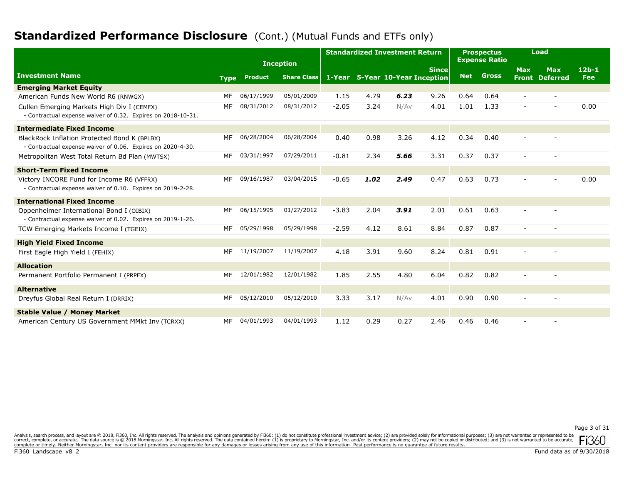# **Standardized Performance Disclosure** (Cont.) (Mutual Funds and ETFs only)

|                                                                                                             |             |                | <b>Inception</b>   |         |      | <b>Standardized Investment Return</b> |              |      | <b>Prospectus</b><br><b>Expense Ratio</b> |                          | Load                                |                       |
|-------------------------------------------------------------------------------------------------------------|-------------|----------------|--------------------|---------|------|---------------------------------------|--------------|------|-------------------------------------------|--------------------------|-------------------------------------|-----------------------|
| <b>Investment Name</b>                                                                                      | <b>Type</b> | <b>Product</b> | <b>Share Class</b> |         |      | 1-Year 5-Year 10-Year Inception       | <b>Since</b> | Net  | Gross                                     | <b>Max</b>               | <b>Max</b><br><b>Front Deferred</b> | $12b-1$<br><b>Fee</b> |
| <b>Emerging Market Equity</b>                                                                               |             |                |                    |         |      |                                       |              |      |                                           |                          |                                     |                       |
| American Funds New World R6 (RNWGX)                                                                         | MF          | 06/17/1999     | 05/01/2009         | 1.15    | 4.79 | 6.23                                  | 9.26         | 0.64 | 0.64                                      | $\overline{\phantom{a}}$ | $\qquad \qquad \blacksquare$        |                       |
| Cullen Emerging Markets High Div I (CEMFX)<br>- Contractual expense waiver of 0.32. Expires on 2018-10-31.  | MF          | 08/31/2012     | 08/31/2012         | $-2.05$ | 3.24 | N/Av                                  | 4.01         | 1.01 | 1.33                                      |                          |                                     | 0.00                  |
| <b>Intermediate Fixed Income</b>                                                                            |             |                |                    |         |      |                                       |              |      |                                           |                          |                                     |                       |
| BlackRock Inflation Protected Bond K (BPLBX)<br>- Contractual expense waiver of 0.06. Expires on 2020-4-30. | МF          | 06/28/2004     | 06/28/2004         | 0.40    | 0.98 | 3.26                                  | 4.12         | 0.34 | 0.40                                      |                          |                                     |                       |
| Metropolitan West Total Return Bd Plan (MWTSX)                                                              | MF          | 03/31/1997     | 07/29/2011         | $-0.81$ | 2.34 | 5.66                                  | 3.31         | 0.37 | 0.37                                      | $\sim$                   | $\sim$                              |                       |
| <b>Short-Term Fixed Income</b>                                                                              |             |                |                    |         |      |                                       |              |      |                                           |                          |                                     |                       |
| Victory INCORE Fund for Income R6 (VFFRX)<br>- Contractual expense waiver of 0.10. Expires on 2019-2-28.    | МF          | 09/16/1987     | 03/04/2015         | $-0.65$ | 1.02 | 2.49                                  | 0.47         | 0.63 | 0.73                                      |                          |                                     | 0.00                  |
| <b>International Fixed Income</b>                                                                           |             |                |                    |         |      |                                       |              |      |                                           |                          |                                     |                       |
| Oppenheimer International Bond I (OIBIX)<br>- Contractual expense waiver of 0.02. Expires on 2019-1-26.     | MF          | 06/15/1995     | 01/27/2012         | $-3.83$ | 2.04 | 3.91                                  | 2.01         | 0.61 | 0.63                                      |                          |                                     |                       |
| TCW Emerging Markets Income I (TGEIX)                                                                       | MF          | 05/29/1998     | 05/29/1998         | $-2.59$ | 4.12 | 8.61                                  | 8.84         | 0.87 | 0.87                                      | $\sim$                   | $\overline{\phantom{0}}$            |                       |
| <b>High Yield Fixed Income</b>                                                                              |             |                |                    |         |      |                                       |              |      |                                           |                          |                                     |                       |
| First Eagle High Yield I (FEHIX)                                                                            | MF          | 11/19/2007     | 11/19/2007         | 4.18    | 3.91 | 9.60                                  | 8.24         | 0.81 | 0.91                                      |                          |                                     |                       |
| <b>Allocation</b>                                                                                           |             |                |                    |         |      |                                       |              |      |                                           |                          |                                     |                       |
| Permanent Portfolio Permanent I (PRPFX)                                                                     | MF          | 12/01/1982     | 12/01/1982         | 1.85    | 2.55 | 4.80                                  | 6.04         | 0.82 | 0.82                                      |                          |                                     |                       |
| <b>Alternative</b>                                                                                          |             |                |                    |         |      |                                       |              |      |                                           |                          |                                     |                       |
| Dreyfus Global Real Return I (DRRIX)                                                                        | MF          | 05/12/2010     | 05/12/2010         | 3.33    | 3.17 | N/Av                                  | 4.01         | 0.90 | 0.90                                      |                          |                                     |                       |
| <b>Stable Value / Money Market</b>                                                                          |             |                |                    |         |      |                                       |              |      |                                           |                          |                                     |                       |
| American Century US Government MMkt Inv (TCRXX)                                                             | МF          | 04/01/1993     | 04/01/1993         | 1.12    | 0.29 | 0.27                                  | 2.46         | 0.46 | 0.46                                      |                          |                                     |                       |

Page 3 of 31

Analysis, search process, and layout are @ 2018, Fi360, Inc. All rights reserved. The analysis and opinions generated by Fi360: (1) do not constitute professional investment advice; (2) are provided solely for informationa correct, complete, or accurate. The data source is © 2018 Morningstar, Inc. All rights reserved. The data contained herein: (1) is proprietary to Morningstar, Inc. and/or its content providers, (2) may not be copied or dis IN 1501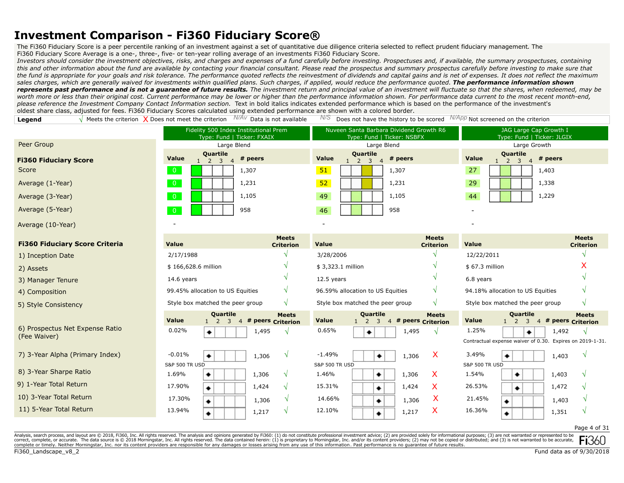The Fi360 Fiduciary Score is a peer percentile ranking of an investment against a set of quantitative due diligence criteria selected to reflect prudent fiduciary management. The

Fi360 Fiduciary Score Average is a one-, three-, five- or ten-year rolling average of an investments Fi360 Fiduciary Score.

*Investors should consider the investment objectives, risks, and charges and expenses of a fund carefully before investing. Prospectuses and, if available, the summary prospectuses, containing this and other information about the fund are available by contacting your financial consultant. Please read the prospectus and summary prospectus carefully before investing to make sure that the fund is appropriate for your goals and risk tolerance. The performance quoted reflects the reinvestment of dividends and capital gains and is net of expenses. It does not reflect the maximum sales charges, which are generally waived for investments within qualified plans. Such charges, if applied, would reduce the performance quoted. The performance information shown represents past performance and is not a guarantee of future results. The investment return and principal value of an investment will fluctuate so that the shares, when redeemed, may be*  worth more or less than their original cost. Current performance may be lower or higher than the performance information shown. For performance data current to the most recent month-end, *please reference the Investment Company Contact Information section.* Text in bold italics indicates extended performance which is based on the performance of the investment's oldest share class, adjusted for fees. Fi360 Fiduciary Scores calculated using extended performance are shown with a colored border.

**Legend**  $\sqrt{\frac{M}{P}}$  Meets the criterion  $\sqrt{\frac{M}{P}}$  Dees not meet the criterion  $\sqrt{\frac{M}{M}}$  Data is not available  $\sqrt{\frac{M}{P}}$  Does not have the history to be scored  $\sqrt{\frac{M}{P}}$  Not screened on the criterion

|                                                                                                                                                                                                                                | Fidelity 500 Index Institutional Prem<br>Type: Fund   Ticker: FXAIX |                                     |                                                                 | Nuveen Santa Barbara Dividend Growth R6<br>Type: Fund   Ticker: NSBFX | JAG Large Cap Growth I<br>Type: Fund   Ticker: JLGIX                |                                   |
|--------------------------------------------------------------------------------------------------------------------------------------------------------------------------------------------------------------------------------|---------------------------------------------------------------------|-------------------------------------|-----------------------------------------------------------------|-----------------------------------------------------------------------|---------------------------------------------------------------------|-----------------------------------|
| Peer Group                                                                                                                                                                                                                     | Large Blend                                                         |                                     | Large Blend                                                     |                                                                       | Large Growth                                                        |                                   |
| <b>Fi360 Fiduciary Score</b>                                                                                                                                                                                                   | Quartile<br>Value<br>$1 \quad 2 \quad 3$<br>$\overline{4}$          | # peers                             | Quartile<br><b>Value</b><br>$1\quad 2\quad 3$<br>$\overline{4}$ | # peers                                                               | Quartile<br><b>Value</b><br>$1\quad 2\quad 3$<br>$\overline{4}$     | # peers                           |
| Score                                                                                                                                                                                                                          | $\overline{0}$                                                      | 1,307                               | 51                                                              | 1,307                                                                 | 27                                                                  | 1,403                             |
| Average (1-Year)                                                                                                                                                                                                               | $\overline{0}$                                                      | 1,231                               | 52                                                              | 1,231                                                                 | 29                                                                  | 1,338                             |
| Average (3-Year)                                                                                                                                                                                                               | $\overline{0}$                                                      | 1,105                               | 49                                                              | 1,105                                                                 | 44                                                                  | 1,229                             |
| Average (5-Year)                                                                                                                                                                                                               | $\overline{0}$                                                      | 958                                 | 46                                                              | 958                                                                   |                                                                     |                                   |
| Average (10-Year)                                                                                                                                                                                                              |                                                                     |                                     |                                                                 |                                                                       |                                                                     |                                   |
| <b>Fi360 Fiduciary Score Criteria</b>                                                                                                                                                                                          | Value                                                               | <b>Meets</b><br><b>Criterion</b>    | Value                                                           | <b>Meets</b><br><b>Criterion</b>                                      | Value                                                               | <b>Meets</b><br><b>Criterion</b>  |
| 1) Inception Date                                                                                                                                                                                                              | 2/17/1988                                                           |                                     | 3/28/2006                                                       |                                                                       | 12/22/2011                                                          |                                   |
| 2) Assets                                                                                                                                                                                                                      | \$166,628.6 million                                                 |                                     | \$3,323.1 million                                               |                                                                       | \$67.3 million                                                      |                                   |
| 3) Manager Tenure                                                                                                                                                                                                              | 14.6 years                                                          |                                     | 12.5 years                                                      |                                                                       | 6.8 years                                                           |                                   |
| 4) Composition                                                                                                                                                                                                                 | 99.45% allocation to US Equities                                    | $\mathcal{N}$                       | 96.59% allocation to US Equities                                |                                                                       | 94.18% allocation to US Equities                                    |                                   |
| 5) Style Consistency                                                                                                                                                                                                           | Style box matched the peer group                                    | $\sqrt{ }$                          | Style box matched the peer group                                |                                                                       | Style box matched the peer group                                    |                                   |
|                                                                                                                                                                                                                                | <b>Quartile</b><br>Value<br>$1\quad 2$<br>3                         | <b>Meets</b><br>4 # peers Criterion | Quartile<br>Value<br>$\overline{3}$<br>$1\quad 2$               | <b>Meets</b><br>4 # peers Criterion                                   | Quartile<br>Value<br>$1\quad 2$<br>3 <sup>7</sup><br>$\overline{4}$ | <b>Meets</b><br># peers Criterion |
| 6) Prospectus Net Expense Ratio                                                                                                                                                                                                | 0.02%<br>۰                                                          | 1,495<br>N                          | 0.65%<br>۰                                                      | 1,495<br>$\mathcal{N}$                                                | 1.25%                                                               | 1,492<br>$\sqrt{ }$               |
| (Fee Waiver)                                                                                                                                                                                                                   |                                                                     |                                     |                                                                 |                                                                       | Contractual expense waiver of 0.30. Expires on 2019-1-31.           |                                   |
| 7) 3-Year Alpha (Primary Index)                                                                                                                                                                                                | $-0.01%$<br>۰                                                       | $\sqrt{ }$<br>1,306                 | $-1.49%$<br>۰                                                   | X<br>1,306                                                            | 3.49%                                                               | $\mathcal{N}$<br>1,403            |
|                                                                                                                                                                                                                                | <b>S&amp;P 500 TR USD</b>                                           |                                     | <b>S&amp;P 500 TR USD</b>                                       |                                                                       | <b>S&amp;P 500 TR USD</b>                                           |                                   |
| 8) 3-Year Sharpe Ratio                                                                                                                                                                                                         | 1.69%<br>٠                                                          | 1,306<br>$\sqrt{ }$                 | 1.46%<br>۰                                                      | $\mathsf{X}$<br>1,306                                                 | 1.54%<br>۰                                                          | 1,403                             |
| 9) 1-Year Total Return                                                                                                                                                                                                         | 17.90%<br>۰                                                         | 1,424<br>$\sqrt{ }$                 | 15.31%<br>٠                                                     | X<br>1,424                                                            | 26.53%<br>٠                                                         | 1,472                             |
| 10) 3-Year Total Return                                                                                                                                                                                                        | 17.30%<br>۰                                                         | $\sqrt{ }$<br>1,306                 | 14.66%<br>۰                                                     | X.<br>1,306                                                           | 21.45%<br>۰                                                         | 1,403                             |
| 11) 5-Year Total Return                                                                                                                                                                                                        | 13.94%<br>۰                                                         | $\sqrt{ }$<br>1,217                 | 12.10%<br>٠                                                     | X<br>1,217                                                            | 16.36%<br>۰                                                         | 1,351                             |
|                                                                                                                                                                                                                                |                                                                     |                                     |                                                                 |                                                                       |                                                                     | Page 4 of 31                      |
| scholar and success and business and COO to All scholar and The scholar and address consulted to the control income and the control income and and and all for the scholar formational consequences (2) are an income and a co |                                                                     |                                     |                                                                 |                                                                       |                                                                     |                                   |

earch process, and layout are © 2018, Fi360, Inc. All rights reserved. The analysis and opinions generated by Fi360: (1) do not constitute professional investment advice; (2) are provided solely for informational purposes; correct, complete, or accurate. The data source is © 2018 Morningstar, Inc. All rights reserved. The data contained herein: (1) is proprietary to Morningstar, Inc. and/or its content providers; (2) may not be copied or dis complete or timely. Neither Morningstar, Inc. nor its content providers are responsible for any damages or losses arising from any use of this information. Past performance is no guarantee of future results.

Fi360 Landscape v8 2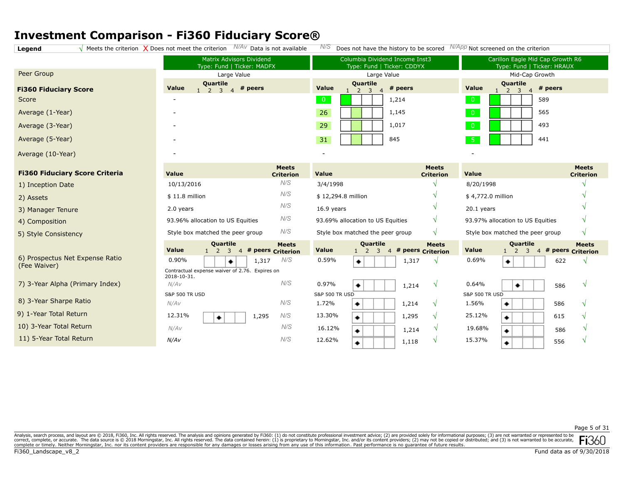**Legend**  $\sqrt{\ }$  Meets the criterion  $\sqrt{\ }$  Does not meet the criterion  $\sqrt{\ }$  Data is not available  $\sqrt{\ }$  Does not have the history to be scored  $\sqrt{\ }$   $\sqrt{\ }$  App Not screened on the criterion

|                                                 | Matrix Advisors Dividend<br>Type: Fund   Ticker: MADFX                                    |                                   |                                                                                         | Columbia Dividend Income Inst3<br>Type: Fund   Ticker: CDDYX | Carillon Eagle Mid Cap Growth R6<br>Type: Fund   Ticker: HRAUX |                                   |
|-------------------------------------------------|-------------------------------------------------------------------------------------------|-----------------------------------|-----------------------------------------------------------------------------------------|--------------------------------------------------------------|----------------------------------------------------------------|-----------------------------------|
| Peer Group                                      | Large Value                                                                               |                                   | Large Value                                                                             |                                                              | Mid-Cap Growth                                                 |                                   |
| <b>Fi360 Fiduciary Score</b>                    | Quartile<br><b>Value</b><br># peers<br>$\overline{3}$<br>$\overline{4}$<br>$\overline{2}$ |                                   | Quartile<br><b>Value</b><br>$\overline{2}$<br>$\overline{\mathbf{3}}$<br>$\overline{4}$ | # peers                                                      | Quartile<br>Value<br>$1\quad 2\quad 3$                         | # peers                           |
| Score                                           |                                                                                           |                                   | $\overline{0}$                                                                          | 1,214                                                        | $\overline{0}$                                                 | 589                               |
| Average (1-Year)                                |                                                                                           |                                   | 26                                                                                      | 1,145                                                        | $\overline{0}$                                                 | 565                               |
| Average (3-Year)                                |                                                                                           |                                   | 29                                                                                      | 1,017                                                        | $\overline{0}$                                                 | 493                               |
| Average (5-Year)                                |                                                                                           |                                   | 31                                                                                      | 845                                                          | $-5$                                                           | 441                               |
| Average (10-Year)                               |                                                                                           |                                   |                                                                                         |                                                              |                                                                |                                   |
| <b>Fi360 Fiduciary Score Criteria</b>           | Value                                                                                     | <b>Meets</b><br><b>Criterion</b>  | <b>Value</b>                                                                            | <b>Meets</b><br><b>Criterion</b>                             | <b>Value</b>                                                   | <b>Meets</b><br><b>Criterion</b>  |
| 1) Inception Date                               | 10/13/2016                                                                                | N/S                               | 3/4/1998                                                                                |                                                              | 8/20/1998                                                      |                                   |
| 2) Assets                                       | $$11.8$ million                                                                           | N/S                               | \$12,294.8 million                                                                      |                                                              | \$4,772.0 million                                              |                                   |
| 3) Manager Tenure                               | 2.0 years                                                                                 | N/S                               | 16.9 years                                                                              |                                                              | $20.1$ years                                                   |                                   |
| 4) Composition                                  | 93.96% allocation to US Equities                                                          | N/S                               | 93.69% allocation to US Equities                                                        | V                                                            | 93.97% allocation to US Equities                               |                                   |
| 5) Style Consistency                            | Style box matched the peer group                                                          | N/S                               | Style box matched the peer group                                                        | $\sqrt{ }$                                                   | Style box matched the peer group                               | $\sqrt{ }$                        |
|                                                 | Quartile<br><b>Value</b><br>$1\quad 2$<br>$\overline{3}$<br>$\overline{4}$                | <b>Meets</b><br># peers Criterion | Quartile<br>Value<br>$\overline{3}$<br>2                                                | <b>Meets</b><br># peers Criterion<br>$\overline{4}$          | Quartile<br>Value<br>3<br>$\overline{2}$<br>$\overline{4}$     | <b>Meets</b><br># peers Criterion |
| 6) Prospectus Net Expense Ratio<br>(Fee Waiver) | 0.90%<br>1,317<br>۰                                                                       | N/S                               | 0.59%<br>۰                                                                              | 1,317                                                        | 0.69%<br>۰                                                     | 622<br>$\mathcal{N}$              |
|                                                 | Contractual expense waiver of 2.76. Expires on<br>2018-10-31.                             |                                   |                                                                                         |                                                              |                                                                |                                   |
| 7) 3-Year Alpha (Primary Index)                 | N/AV                                                                                      | N/S                               | 0.97%<br>۰                                                                              | 1,214                                                        | 0.64%<br>۰                                                     | $\sqrt{ }$<br>586                 |
|                                                 | <b>S&amp;P 500 TR USD</b>                                                                 |                                   | <b>S&amp;P 500 TR USD</b>                                                               |                                                              | <b>S&amp;P 500 TR USD</b>                                      |                                   |
| 8) 3-Year Sharpe Ratio                          | N/AV                                                                                      | N/S                               | 1.72%<br>۰                                                                              | 1,214                                                        | 1.56%<br>۰                                                     | 586                               |
| 9) 1-Year Total Return                          | 12.31%<br>1,295<br>۰                                                                      | N/S                               | 13.30%<br>۰                                                                             | 1,295                                                        | 25.12%<br>٠                                                    | 615                               |
| 10) 3-Year Total Return                         | N/AV                                                                                      | N/S                               | 16.12%<br>۰                                                                             | 1,214                                                        | 19.68%<br>۰                                                    | 586                               |
| 11) 5-Year Total Return                         | N/AV                                                                                      | N/S                               | 12.62%<br>۰                                                                             | 1,118                                                        | 15.37%<br>٠                                                    | 556                               |

Page 5 of 31

Analysis, search process, and layout are @ 2018, Fi360, Inc. All rights reserved. The analysis and opinions generated by Fi360: (1) do not constitute professional investment advice; (2) are provided solely for informationa correct, complete, or accurate. The data source is © 2018 Morningstar, Inc. All rights reserved. The data contained herein: (1) is proprietary to Morningstar, Inc. and/or its content providers, (2) may not be copied or dis **FI**JOI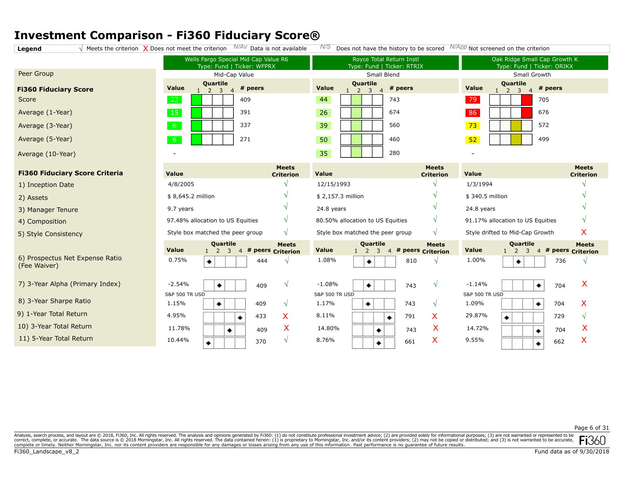**Legend**  $\sqrt{\phantom{a}^{\prime}}$  Meets the criterion  $\sqrt{\phantom{a}^{\prime}}$  Does not meet the criterion  $\phantom{a}^{N/A_V}$  Data is not available  $\phantom{a}^{N/S}$  Does not have the history to be scored  $\phantom{a}^{N/App}$  Not screened on the criterion

|                                                 | Wells Fargo Special Mid Cap Value R6                  | Royce Total Return Instl                         | Oak Ridge Small Cap Growth K                                            |
|-------------------------------------------------|-------------------------------------------------------|--------------------------------------------------|-------------------------------------------------------------------------|
|                                                 | Type: Fund   Ticker: WFPRX                            | Type: Fund   Ticker: RTRIX                       | Type: Fund   Ticker: ORIKX                                              |
| Peer Group                                      | Mid-Cap Value                                         | Small Blend                                      | Small Growth                                                            |
| <b>Fi360 Fiduciary Score</b>                    | <b>Quartile</b><br>Value<br># peers<br>$\overline{3}$ | Quartile<br>Value<br>$#$ peers<br>$\overline{3}$ | <b>Quartile</b><br>Value<br># peers<br>$\overline{3}$<br>$\overline{4}$ |
| Score                                           | 23                                                    | 44                                               | 79                                                                      |
|                                                 | 409                                                   | 743                                              | 705                                                                     |
| Average (1-Year)                                | 15                                                    | 26                                               | 86                                                                      |
|                                                 | 391                                                   | 674                                              | 676                                                                     |
| Average (3-Year)                                | 6 <sup>6</sup>                                        | 39                                               | 73                                                                      |
|                                                 | 337                                                   | 560                                              | 572                                                                     |
| Average (5-Year)                                | $6^{\circ}$                                           | 50                                               | 52                                                                      |
|                                                 | 271                                                   | 460                                              | 499                                                                     |
| Average (10-Year)                               |                                                       | 35<br>280                                        |                                                                         |
| <b>Fi360 Fiduciary Score Criteria</b>           | <b>Meets</b>                                          | <b>Meets</b>                                     | <b>Meets</b>                                                            |
|                                                 | Value                                                 | <b>Value</b>                                     | <b>Value</b>                                                            |
|                                                 | <b>Criterion</b>                                      | <b>Criterion</b>                                 | <b>Criterion</b>                                                        |
| 1) Inception Date                               | 4/8/2005                                              | 12/15/1993                                       | 1/3/1994                                                                |
| 2) Assets                                       | \$8,645.2 million                                     | \$2,157.3 million                                | \$340.5 million                                                         |
| 3) Manager Tenure                               | 9.7 years                                             | 24.8 years                                       | 24.8 years                                                              |
| 4) Composition                                  | V<br>97.48% allocation to US Equities                 | V<br>80.50% allocation to US Equities            | 91.17% allocation to US Equities                                        |
| 5) Style Consistency                            | Style box matched the peer group                      | Style box matched the peer group                 | X                                                                       |
|                                                 | $\sqrt{ }$                                            | $\mathcal{N}$                                    | Style drifted to Mid-Cap Growth                                         |
|                                                 | Quartile                                              | Quartile                                         | Quartile                                                                |
|                                                 | <b>Meets</b>                                          | <b>Meets</b>                                     | <b>Meets</b>                                                            |
|                                                 | Value                                                 | Value                                            | <b>Value</b>                                                            |
|                                                 | # peers Criterion                                     | $\overline{3}$                                   | # peers Criterion                                                       |
|                                                 | 2                                                     | # peers Criterion                                | 3                                                                       |
|                                                 | 3                                                     | $\overline{4}$                                   | <sup>2</sup>                                                            |
|                                                 | $\overline{4}$                                        | 1                                                | $\overline{4}$                                                          |
| 6) Prospectus Net Expense Ratio<br>(Fee Waiver) | 0.75%<br>444<br>۰<br>٦                                | 1.08%<br>810<br>۰                                | 1.00%<br>736                                                            |
| 7) 3-Year Alpha (Primary Index)                 | $-2.54%$<br>$\sqrt{ }$<br>409<br>۰                    | $-1.08%$<br>743<br>٠                             | X<br>$-1.14%$<br>704<br>۰                                               |
| 8) 3-Year Sharpe Ratio                          | <b>S&amp;P 500 TR USD</b>                             | <b>S&amp;P 500 TR USD</b>                        | <b>S&amp;P 500 TR USD</b>                                               |
|                                                 | 1.15%                                                 | 1.17%                                            | X                                                                       |
|                                                 | 409                                                   | ۰                                                | 1.09%                                                                   |
|                                                 | $\sqrt{ }$                                            | 743                                              | 704                                                                     |
|                                                 | ۰                                                     | $\mathcal{N}$                                    | ۰                                                                       |
| 9) 1-Year Total Return                          | 4.95%                                                 | 8.11%                                            | 29.87%                                                                  |
|                                                 | Х                                                     | X                                                | 729                                                                     |
|                                                 | 433                                                   | 791                                              | $\sqrt{ }$                                                              |
|                                                 | ٠                                                     | ۰                                                | ۰                                                                       |
| 10) 3-Year Total Return                         | X                                                     | X                                                | X                                                                       |
|                                                 | 11.78%                                                | 14.80%                                           | 14.72%                                                                  |
|                                                 | 409                                                   | 743                                              | 704                                                                     |
|                                                 | ٠                                                     | ۰                                                | ۰                                                                       |
| 11) 5-Year Total Return                         | 10.44%<br>$\sqrt{ }$<br>370<br>۰                      | X<br>8.76%<br>661<br>۰                           | X<br>$9.55\%$<br>662                                                    |

Page 6 of 31

Analysis, search process, and layout are @ 2018, Fi360, Inc. All rights reserved. The analysis and opinions generated by Fi360: (1) do not constitute professional investment advice; (2) are provided solely for informationa correct, complete, or accurate. The data source is © 2018 Morningstar, Inc. All rights reserved. The data contained herein: (1) is proprietary to Morningstar, Inc. and/or its content providers, (2) may not be copied or dis **FI**.361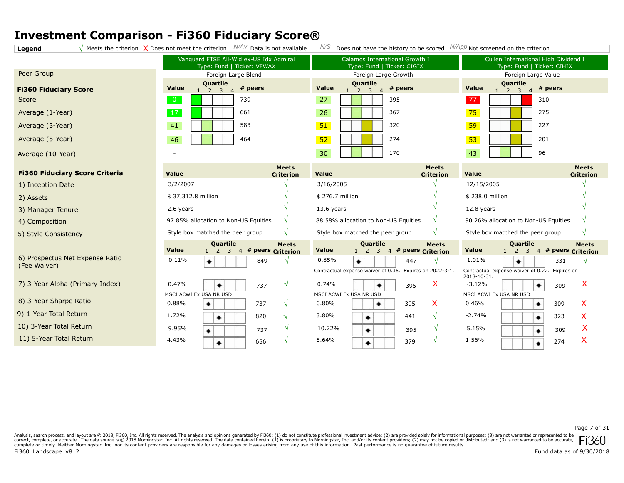**Legend**  $\sqrt{}$  Meets the criterion  $\sqrt{}$  Does not meet the criterion  $N/AV$  Data is not available  $N/S$  Does not have the history to be scored  $N/APP$  Not screened on the criterion

|                                                 | Vanguard FTSE All-Wld ex-US Idx Admiral<br>Type: Fund   Ticker: VFWAX |                                     |                                     | Calamos International Growth I<br>Type: Fund   Ticker: CIGIX                             |                                  | Cullen International High Dividend I<br>Type: Fund   Ticker: CIHIX       |
|-------------------------------------------------|-----------------------------------------------------------------------|-------------------------------------|-------------------------------------|------------------------------------------------------------------------------------------|----------------------------------|--------------------------------------------------------------------------|
| Peer Group                                      | Foreign Large Blend                                                   |                                     |                                     | Foreign Large Growth                                                                     |                                  | Foreign Large Value                                                      |
| <b>Fi360 Fiduciary Score</b>                    | Quartile<br># peers<br>Value<br>3                                     |                                     | Quartile<br>Value<br>$\overline{2}$ | # peers<br>3<br>$\overline{4}$                                                           | <b>Quartile</b><br>Value         | # peers<br>3<br>$\overline{4}$                                           |
| Score                                           | $\overline{0}$<br>739                                                 |                                     | 27                                  | 395                                                                                      | 77                               | 310                                                                      |
| Average (1-Year)                                | 17<br>661                                                             |                                     | 26                                  | 367                                                                                      | 75                               | 275                                                                      |
| Average (3-Year)                                | 41<br>583                                                             |                                     | 51                                  | 320                                                                                      | 59                               | 227                                                                      |
| Average (5-Year)                                | 46<br>464                                                             |                                     | 52                                  | 274                                                                                      | 53                               | 201                                                                      |
| Average (10-Year)                               |                                                                       |                                     | 30                                  | 170                                                                                      | 43                               | 96                                                                       |
| <b>Fi360 Fiduciary Score Criteria</b>           | <b>Value</b>                                                          | <b>Meets</b><br><b>Criterion</b>    | Value                               | <b>Meets</b><br><b>Criterion</b>                                                         | Value                            | <b>Meets</b><br><b>Criterion</b>                                         |
| 1) Inception Date                               | 3/2/2007                                                              |                                     | 3/16/2005                           |                                                                                          | 12/15/2005                       |                                                                          |
| 2) Assets                                       | \$37,312.8 million                                                    |                                     | \$276.7 million                     |                                                                                          | \$238.0 million                  |                                                                          |
| 3) Manager Tenure                               | 2.6 years                                                             |                                     | 13.6 years                          |                                                                                          | 12.8 years                       |                                                                          |
| 4) Composition                                  | 97.85% allocation to Non-US Equities                                  | V                                   |                                     | 88.58% allocation to Non-US Equities<br>N                                                |                                  | 90.26% allocation to Non-US Equities                                     |
| 5) Style Consistency                            | Style box matched the peer group                                      |                                     | Style box matched the peer group    | $\mathcal{N}$                                                                            | Style box matched the peer group | $\mathcal{N}$                                                            |
|                                                 | <b>Quartile</b><br>Value<br>$1\quad 2$<br>3                           | <b>Meets</b><br>4 # peers Criterion | Value<br>$1\quad 2$                 | <b>Quartile</b><br><b>Meets</b><br># peers Criterion<br>$\overline{3}$<br>$\overline{4}$ | Value<br>$\overline{2}$          | <b>Quartile</b><br><b>Meets</b><br>4 # peers Criterion<br>$\overline{3}$ |
| 6) Prospectus Net Expense Ratio<br>(Fee Waiver) | 0.11%<br>849<br>۰                                                     |                                     | 0.85%<br>۰                          | 447                                                                                      | 1.01%                            | 331                                                                      |
|                                                 |                                                                       |                                     |                                     | Contractual expense waiver of 0.36. Expires on 2022-3-1.                                 | 2018-10-31.                      | Contractual expense waiver of 0.22. Expires on                           |
| 7) 3-Year Alpha (Primary Index)                 | 0.47%<br>737<br>۰                                                     | V                                   | 0.74%                               | X<br>395                                                                                 | $-3.12%$                         | X<br>309                                                                 |
|                                                 | MSCI ACWI Ex USA NR USD                                               |                                     | MSCI ACWI Ex USA NR USD             |                                                                                          | MSCI ACWI Ex USA NR USD          |                                                                          |
| 8) 3-Year Sharpe Ratio                          | 0.88%<br>۰<br>737                                                     | V                                   | 0.80%                               | X<br>395<br>۰                                                                            | 0.46%                            | Х<br>309<br>۰                                                            |
| 9) 1-Year Total Return                          | 1.72%<br>820<br>٠                                                     | V                                   | 3.80%                               | 441<br>$\mathcal{N}$<br>٠                                                                | $-2.74%$                         | X<br>323                                                                 |
| 10) 3-Year Total Return                         | 9.95%<br>737<br>۰                                                     | V                                   | 10.22%                              | 395<br>٠                                                                                 | 5.15%                            | X<br>309                                                                 |
| 11) 5-Year Total Return                         | 4.43%<br>656<br>٠                                                     |                                     | 5.64%                               | 379<br>٠                                                                                 | 1.56%                            | X<br>274                                                                 |

Analysis, search process, and layout are @ 2018, Fi360, Inc. All rights reserved. The analysis and opinions generated by Fi360: (1) do not constitute professional investment advice; (2) are provided solely for informationa correct, complete, or accurate. The data source is © 2018 Morningstar, Inc. All rights reserved. The data contained herein: (1) is proprietary to Morningstar, Inc. and/or its content providers, (2) may not be copied or dis **FI**JOL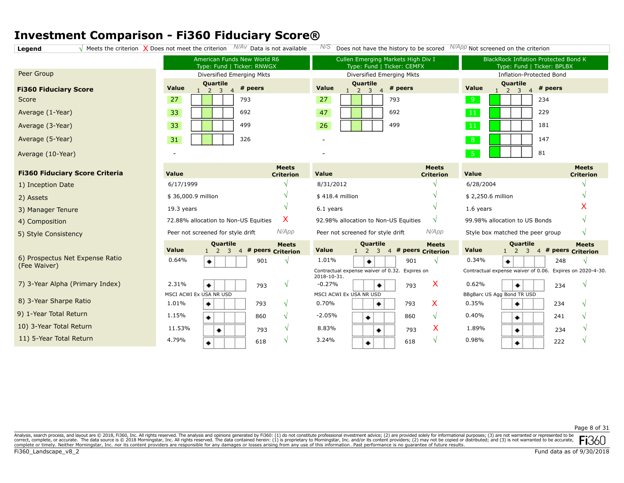**Legend**  $\sqrt{\frac{1}{2}}$  Meets the criterion  $\sqrt{\frac{1}{2}}$  Does not meet the criterion  $\sqrt{\frac{1}{4}}$  Data is not available  $\sqrt{\frac{1}{2}}$  Does not have the history to be scored  $\sqrt{\frac{1}{4}}$  Not screened on the criterion

|                                                 | American Funds New World R6<br>Type: Fund   Ticker: RNWGX                                              | Cullen Emerging Markets High Div I<br>Type: Fund   Ticker: CEMFX             | <b>BlackRock Inflation Protected Bond K</b><br>Type: Fund   Ticker: BPLBX            |
|-------------------------------------------------|--------------------------------------------------------------------------------------------------------|------------------------------------------------------------------------------|--------------------------------------------------------------------------------------|
| Peer Group                                      | Diversified Emerging Mkts                                                                              | Diversified Emerging Mkts                                                    | <b>Inflation-Protected Bond</b>                                                      |
| <b>Fi360 Fiduciary Score</b>                    | Quartile<br># peers<br>Value<br>$1 \t2 \t3 \t4$                                                        | Quartile<br><b>Value</b><br># peers<br>$1 \quad 2 \quad 3$<br>$\overline{4}$ | Quartile<br>Value<br># peers<br>$\overline{2}$<br>$\overline{3}$<br>1                |
| Score                                           | 27<br>793                                                                                              | 27<br>793                                                                    | 9<br>234                                                                             |
| Average (1-Year)                                | 33<br>692                                                                                              | 47<br>692                                                                    | $\vert 11 \vert$<br>229                                                              |
| Average (3-Year)                                | 33<br>499                                                                                              | 26<br>499                                                                    | 11<br>181                                                                            |
| Average (5-Year)                                | 31<br>326                                                                                              |                                                                              | 8<br>147                                                                             |
| Average (10-Year)                               |                                                                                                        |                                                                              | $-5$<br>81                                                                           |
| <b>Fi360 Fiduciary Score Criteria</b>           | <b>Meets</b><br><b>Value</b><br><b>Criterion</b>                                                       | <b>Meets</b><br>Value<br><b>Criterion</b>                                    | <b>Meets</b><br>Value<br><b>Criterion</b>                                            |
| 1) Inception Date                               | 6/17/1999                                                                                              | 8/31/2012                                                                    | 6/28/2004                                                                            |
| 2) Assets                                       | \$36,000.9 million                                                                                     | \$418.4 million                                                              | \$2,250.6 million                                                                    |
| 3) Manager Tenure                               | 19.3 years                                                                                             | 6.1 years                                                                    | 1.6 years                                                                            |
| 4) Composition                                  | X<br>72.88% allocation to Non-US Equities                                                              | 92.98% allocation to Non-US Equities<br>N                                    | 99.98% allocation to US Bonds                                                        |
| 5) Style Consistency                            | N/App<br>Peer not screened for style drift                                                             | N/App<br>Peer not screened for style drift                                   | Style box matched the peer group<br>$\sqrt{ }$                                       |
|                                                 | Quartile<br><b>Meets</b><br><b>Value</b><br># peers Criterion<br>$\overline{2}$<br>3<br>$\overline{4}$ | Quartile<br><b>Meets</b><br>Value<br>4 # peers Criterion<br>3<br>$1\quad 2$  | Quartile<br><b>Meets</b><br>Value<br>4 # peers Criterion<br>2<br>$\overline{3}$<br>1 |
| 6) Prospectus Net Expense Ratio<br>(Fee Waiver) | 0.64%<br>901<br>۰                                                                                      | 1.01%<br>901                                                                 | 0.34%<br>248<br>٠                                                                    |
|                                                 |                                                                                                        | Contractual expense waiver of 0.32. Expires on<br>2018-10-31.                | Contractual expense waiver of 0.06. Expires on 2020-4-30.                            |
| 7) 3-Year Alpha (Primary Index)                 | 2.31%<br>$\sqrt{ }$<br>793<br>۰                                                                        | X<br>$-0.27%$<br>793<br>٠                                                    | 0.62%<br>234<br>۰                                                                    |
| 8) 3-Year Sharpe Ratio                          | MSCI ACWI Ex USA NR USD                                                                                | MSCI ACWI Ex USA NR USD                                                      | BBgBarc US Agg Bond TR USD                                                           |
|                                                 | 1.01%<br>٠<br>793<br>$\sqrt{ }$                                                                        | X<br>0.70%<br>793<br>٠                                                       | 0.35%<br>٠<br>234                                                                    |
| 9) 1-Year Total Return                          | 1.15%<br>860<br>$\sqrt{ }$<br>٠                                                                        | $-2.05%$<br>860<br>$\sqrt{ }$<br>٠                                           | 0.40%<br>241<br>٠                                                                    |
| 10) 3-Year Total Return                         | 11.53%<br>$\sqrt{ }$<br>793<br>٠                                                                       | X<br>8.83%<br>793<br>٠                                                       | 1.89%<br>234<br>٠                                                                    |
| 11) 5-Year Total Return                         | 4.79%<br>$\sqrt{ }$<br>618<br>۰                                                                        | 3.24%<br>$\sqrt{ }$<br>618<br>۰                                              | 0.98%<br>222<br>۰                                                                    |
|                                                 |                                                                                                        |                                                                              |                                                                                      |

Page 8 of 31

Analysis, search process, and layout are @ 2018, Fi360, Inc. All rights reserved. The analysis and opinions generated by Fi360: (1) do not constitute professional investment advice; (2) are provided solely for informationa correct, complete, or accurate. The data source is © 2018 Morningstar, Inc. All rights reserved. The data contained herein: (1) is proprietary to Morningstar, Inc. and/or its content providers, (2) may not be copied or dis **FI**JOU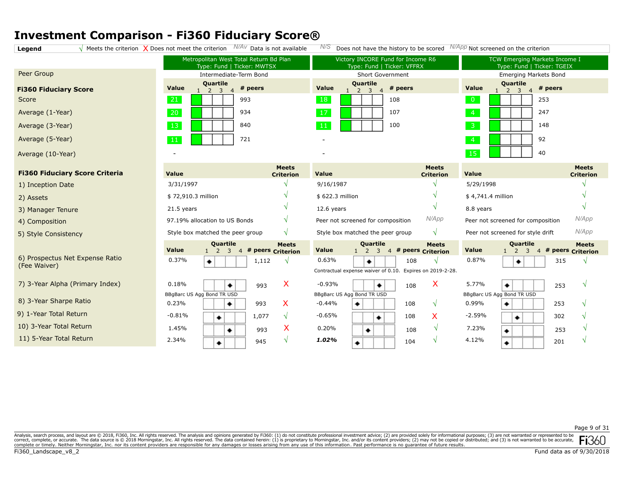**Legend**  $\sqrt{M}$  Meets the criterion  $\sqrt{M}$  Does not meet the criterion  $N/AV$  Data is not available  $N/S$  Does not have the history to be scored  $N/APP$  Not screened on the criterion

Metropolitan West Total Return Bd Plan TCW Emerging Markets Income I Victory INCORE Fund for Income R6 Type: Fund | Ticker: MWTSX Type: Fund | Ticker: VFFRX Type: Fund | Ticker: TGEIX Peer Group Intermediate-Term Bond Short Government Emerging Markets Bond **Quartile Quartile**<br>2<br>3<br>4 **Quartile**<br>2<br>3<br>4 **Value # peers Value # peers Value # peers Fi360 Fiduciary Score**  $1 \t2 \t3$  $1 \quad 2 \quad 3$  $1 \t2 \t3 \t4$ 21 18 993 108 253 Average (1-Year) 934 107 247 20 17 Average (3-Year) 13 840 100 148 Average (5-Year) 721 92 11 - 40 15 - - Average (10-Year) **Meets Meets Meets Fi360 Fiduciary Score Criteria Value Value Value Criterion Criterion Criterion √** 3/31/1997 **√** 9/16/1987 5/29/1998 **√** 1) Inception Date **√ √** \$ 72,910.3 million \$ 622.3 million \$ 4,741.4 million **√** 2) Assets **√ √ √** 21.5 years 12.6 years 8.8 years 3) Manager Tenure *N/App N/App* 97.19% allocation to US Bonds **√** Peer not screened for composition Peer not screened for composition 4) Composition **√** *N/App* Style box matched the peer group **√** Style box matched the peer group Peer not screened for style drift 5) Style Consistency **Quartile Quartile Quartile Meets Meets Meets Value Value Value** 1 2 3 4 **Criterion # peers**  $1 \quad 2 \quad 3$ **# peers Criterion** 1 2 3 4 # peers Criterion 6) Prospectus Net Expense Ratio 0.37% 0.63% **√** 0.87% 1,112 **√** 108 315 **√** ٠ ۰ (Fee Waiver) Contractual expense waiver of 0.10. Expires on 2019-2-28. 7) 3-Year Alpha (Primary Index) 5.77% 0.18% X -0.93% X 993 108 ۰ 253 **√** ۰ ۰ BBgBarc US Agg Bond TR USD BBgBarc US Agg Bond TR USD BBgBarc US Agg Bond TR USD 8) 3-Year Sharpe Ratio 0.23% X  $-0.44%$ **√** 0.99% **√** ۰ 993 ۰ 108 ۰ 253 9) 1-Year Total Return -0.81% 1,077 **√** -0.65% 108 X -2.59% 302 **√** ۰ ۰ ۰ 10) 3-Year Total Return X 1.45% 0.20% **√** 7.23% **√** 993 108 253 ٠ ۰ ۰ 11) 5-Year Total Return 2.34% **√** *1.02%* **√** 4.12% **√** 945 104 201 ۰

Analysis, search process, and layout are @ 2018, Fi360, Inc. All rights reserved. The analysis and opinions generated by Fi360: (1) do not constitute professional investment advice; (2) are provided solely for informationa ï360 correct, complete, or accurate. The data source is © 2018 Morningstar, Inc. All rights reserved. The data contained herein: (1) is proprietary to Morningstar, Inc. and/or its content providers; (2) may not be copied or dis complete or timely. Neither Morningstar, Inc. nor its content providers are responsible for any damages or losses arising from any use of this information. Past performance is no guarantee of future results.

Score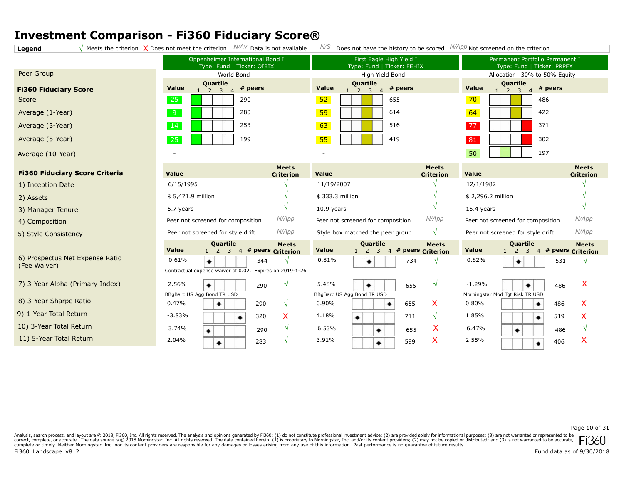**Legend**  $\sqrt{M}$  Meets the criterion  $\sqrt{M}$  Does not meet the criterion  $N/AV$  Data is not available  $N/S$  Does not have the history to be scored  $N/APP$  Not screened on the criterion

| Peer Group                                      | Oppenheimer International Bond I<br>Type: Fund   Ticker: OIBIX<br>World Bond   |                                     | First Eagle High Yield I<br>Type: Fund   Ticker: FEHIX<br>High Yield Bond |                                   | Permanent Portfolio Permanent I<br>Type: Fund   Ticker: PRPFX                          |                                     |
|-------------------------------------------------|--------------------------------------------------------------------------------|-------------------------------------|---------------------------------------------------------------------------|-----------------------------------|----------------------------------------------------------------------------------------|-------------------------------------|
| <b>Fi360 Fiduciary Score</b>                    | Quartile<br>Value<br># peers<br>$\overline{3}$<br>2                            |                                     | Quartile<br>Value<br>$\overline{3}$<br>2<br>$\overline{4}$                | # peers                           | Allocation--30% to 50% Equity<br>Quartile<br>Value<br>2 <sup>3</sup><br>$\overline{4}$ | # peers                             |
| Score                                           | 25<br>290                                                                      |                                     | 52                                                                        | 655                               | 70                                                                                     | 486                                 |
| Average (1-Year)                                | 9<br>280                                                                       |                                     | 59                                                                        | 614                               | 64                                                                                     | 422                                 |
| Average (3-Year)                                | 14<br>253                                                                      |                                     | 63                                                                        | 516                               | 77                                                                                     | 371                                 |
| Average (5-Year)                                | 25<br>199                                                                      |                                     | 55                                                                        | 419                               | 81                                                                                     | 302                                 |
| Average (10-Year)                               |                                                                                |                                     |                                                                           |                                   | 50                                                                                     | 197                                 |
| <b>Fi360 Fiduciary Score Criteria</b>           | Value                                                                          | <b>Meets</b><br><b>Criterion</b>    | Value                                                                     | <b>Meets</b><br><b>Criterion</b>  | <b>Value</b>                                                                           | <b>Meets</b><br><b>Criterion</b>    |
| 1) Inception Date                               | 6/15/1995                                                                      |                                     | 11/19/2007                                                                |                                   | 12/1/1982                                                                              |                                     |
| 2) Assets                                       | \$5,471.9 million                                                              |                                     | \$333.3 million                                                           |                                   | \$2,296.2 million                                                                      |                                     |
| 3) Manager Tenure                               | 5.7 years                                                                      |                                     | $10.9$ years                                                              |                                   | 15.4 years                                                                             |                                     |
| 4) Composition                                  | Peer not screened for composition                                              | N/App                               | Peer not screened for composition                                         | N/App                             | Peer not screened for composition                                                      | N/App                               |
| 5) Style Consistency                            | Peer not screened for style drift                                              | N/App                               | Style box matched the peer group                                          | $\sqrt{ }$                        | Peer not screened for style drift                                                      | N/App                               |
|                                                 | <b>Quartile</b><br><b>Value</b><br>$1\quad 2$<br>$\overline{3}$                | <b>Meets</b><br>4 # peers Criterion | Quartile<br>Value<br>$\overline{3}$<br>$1\quad 2$<br>$\overline{4}$       | <b>Meets</b><br># peers Criterion | <b>Quartile</b><br>Value<br>$\overline{\mathbf{3}}$<br>$\overline{2}$                  | <b>Meets</b><br>4 # peers Criterion |
| 6) Prospectus Net Expense Ratio<br>(Fee Waiver) | 0.61%<br>344<br>۰<br>Contractual expense waiver of 0.02. Expires on 2019-1-26. | N                                   | 0.81%<br>۰                                                                | 734                               | 0.82%<br>۰                                                                             | 531<br>N                            |
| 7) 3-Year Alpha (Primary Index)                 | 2.56%<br>۰<br>290                                                              | N                                   | 5.48%<br>٠                                                                | $\mathcal{N}$<br>655              | $-1.29%$<br>٠                                                                          | X<br>486                            |
| 8) 3-Year Sharpe Ratio                          | BBgBarc US Agg Bond TR USD<br>0.47%<br>290<br>۰                                | V                                   | BBgBarc US Agg Bond TR USD<br>0.90%<br>۰                                  | X<br>655                          | Morningstar Mod Tgt Risk TR USD<br>0.80%                                               | X<br>486<br>۰                       |
| 9) 1-Year Total Return                          | $-3.83%$<br>320<br>۰                                                           | X                                   | 4.18%<br>۰                                                                | 711<br>$\sqrt{ }$                 | 1.85%                                                                                  | X<br>519<br>۰                       |
| 10) 3-Year Total Return                         | 3.74%<br>290<br>۰                                                              | $\sqrt{ }$                          | 6.53%<br>۰                                                                | X<br>655                          | 6.47%<br>۰                                                                             | N<br>486                            |
| 11) 5-Year Total Return                         | 2.04%<br>283                                                                   | V                                   | 3.91%<br>٠                                                                | X<br>599                          | 2.55%                                                                                  | X<br>406<br>۰                       |

Page 10 of 31

Analysis, search process, and layout are @ 2018, Fi360, Inc. All rights reserved. The analysis and opinions generated by Fi360: (1) do not constitute professional investment advice; (2) are provided solely for informationa correct, complete, or accurate. The data source is © 2018 Morningstar, Inc. All rights reserved. The data contained herein: (1) is proprietary to Morningstar, Inc. and/or its content providers, (2) may not be copied or dis IN 1501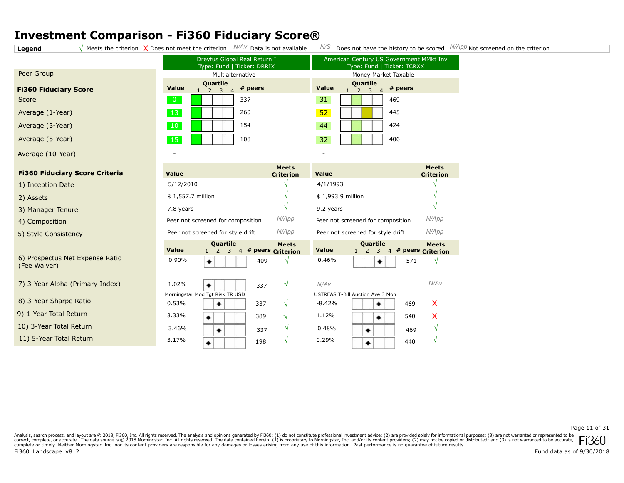**Legend**  $\sqrt{}$  Meets the criterion  $\sqrt{}$  Does not meet the criterion  $N/AV$  Data is not available  $N/S$  Does not have the history to be scored  $N/APP$  Not screened on the criterion

| Peer Group                   |       |
|------------------------------|-------|
| <b>Fi360 Fiduciary Score</b> | Value |
| Score                        | 0     |
| Average (1-Year)             | 13    |
| Average (3-Year)             | 10    |
| Average (5-Year)             | 15    |
| Average (10-Year)            |       |

**Fi360 Fiduciary Score Criteria**

6) Prospectus Net Expense Ratio

7) 3-Year Alpha (Primary Index)

4) Composition 5) Style Consistency

2) Assets

(Fee Waiver)

3) Manager Tenure

1) Inception Date

8) 3-Year Sharpe Ratio

11) 5-Year Total Return

9) 1-Year Total Return 10) 3-Year Total Return

|              |                          | Dreyfus Global Real Return I<br>Type: Fund   Ticker: DRRIX | Ar   |
|--------------|--------------------------|------------------------------------------------------------|------|
|              | Multialternative         |                                                            |      |
| <b>Value</b> | <b>Quartile</b><br>2 3 4 | # peers                                                    | Valu |
| ი            |                          | 337                                                        | 31   |
| 13           |                          | 260                                                        | 52   |
| 10           |                          | 154                                                        | 44   |
| 15           |                          | 108                                                        | 32   |

| American Century US Government MMkt Inv<br>Type: Fund   Ticker: TCRXX |                                                               |         |  |  |  |  |  |
|-----------------------------------------------------------------------|---------------------------------------------------------------|---------|--|--|--|--|--|
|                                                                       | Money Market Taxable                                          |         |  |  |  |  |  |
| <b>Value</b>                                                          | Quartile<br>$\mathcal{P}$<br>$\overline{3}$<br>$\overline{4}$ | # peers |  |  |  |  |  |
| 31                                                                    |                                                               | 469     |  |  |  |  |  |
| 52                                                                    |                                                               | 445     |  |  |  |  |  |
| 44                                                                    |                                                               | 424     |  |  |  |  |  |
| 32                                                                    |                                                               | 406     |  |  |  |  |  |

| <b>Value</b>                               | <b>Meets</b><br><b>Criterion</b>  | <b>Value</b>                               | <b>Meets</b><br><b>Criterion</b>  |
|--------------------------------------------|-----------------------------------|--------------------------------------------|-----------------------------------|
| 5/12/2010                                  | $\mathbf{v}$                      | 4/1/1993                                   |                                   |
| \$1,557.7 million                          | $\mathcal{N}$                     | \$1,993.9 million                          | V                                 |
| 7.8 years                                  | $\mathcal{N}$                     | 9.2 years                                  | V                                 |
| Peer not screened for composition          | N/App                             | Peer not screened for composition          | N/App                             |
| Peer not screened for style drift          | N/App                             | Peer not screened for style drift          | N/App                             |
| Quartile<br><b>Value</b><br>$\overline{4}$ | <b>Meets</b><br># peers Criterion | Quartile<br><b>Value</b><br>$\overline{4}$ | <b>Meets</b><br># peers Criterion |

0.46%

-

| <b>Value</b> |  |  | --------<br>4 # peers Criterion |
|--------------|--|--|---------------------------------|
| 0.90%        |  |  |                                 |

| 1.02% |                                 | 337 |  |
|-------|---------------------------------|-----|--|
|       | Morningstar Mod Tgt Risk TR USD |     |  |
| 0.53% |                                 | 337 |  |
| 3.33% |                                 | 389 |  |
| 3.46% |                                 | 337 |  |
| 3.17% |                                 | 198 |  |
|       |                                 |     |  |

| N/AV     |                                  |     | N/AV |
|----------|----------------------------------|-----|------|
|          | USTREAS T-Bill Auction Ave 3 Mon |     |      |
| $-8.42%$ |                                  | 469 | x    |
| 1.12%    |                                  | 540 | x    |
| 0.48%    |                                  | 469 |      |
| 0.29%    |                                  | 440 |      |
|          |                                  |     |      |

٠

**√**

571

# peers Criterion

## Page 11 of 31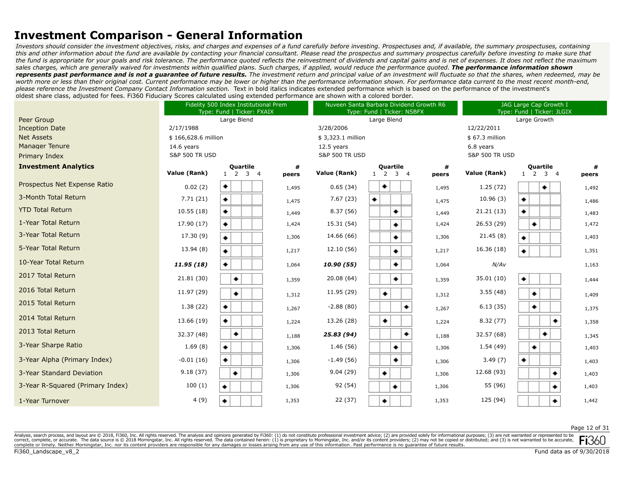*Investors should consider the investment objectives, risks, and charges and expenses of a fund carefully before investing. Prospectuses and, if available, the summary prospectuses, containing this and other information about the fund are available by contacting your financial consultant. Please read the prospectus and summary prospectus carefully before investing to make sure that the fund is appropriate for your goals and risk tolerance. The performance quoted reflects the reinvestment of dividends and capital gains and is net of expenses. It does not reflect the maximum*  sales charges, which are generally waived for investments within qualified plans. Such charges, if applied, would reduce the performance quoted. **The performance information shown** *represents past performance and is not a guarantee of future results. The investment return and principal value of an investment will fluctuate so that the shares, when redeemed, may be*  worth more or less than their original cost. Current performance may be lower or higher than the performance information shown. For performance data current to the most recent month-end, *please reference the Investment Company Contact Information section.* Text in bold italics indicates extended performance which is based on the performance of the investment's oldest share class, adjusted for fees. Fi360 Fiduciary Scores calculated using extended performance are shown with a colored border.

|                                  | Fidelity 500 Index Institutional Prem<br>Type: Fund   Ticker: FXAIX |                                              |            |                           | Nuveen Santa Barbara Dividend Growth R6<br>Type: Fund   Ticker: NSBFX |            |                           | JAG Large Cap Growth I<br>Type: Fund   Ticker: JLGIX |            |  |
|----------------------------------|---------------------------------------------------------------------|----------------------------------------------|------------|---------------------------|-----------------------------------------------------------------------|------------|---------------------------|------------------------------------------------------|------------|--|
| Peer Group                       |                                                                     | Large Blend                                  |            |                           | Large Blend                                                           |            |                           | Large Growth                                         |            |  |
| <b>Inception Date</b>            | 2/17/1988                                                           |                                              |            | 3/28/2006                 |                                                                       |            | 12/22/2011                |                                                      |            |  |
| <b>Net Assets</b>                | \$166,628.6 million                                                 |                                              |            | \$3,323.1 million         |                                                                       |            | \$67.3 million            |                                                      |            |  |
| <b>Manager Tenure</b>            | 14.6 years                                                          |                                              |            | 12.5 years                |                                                                       |            | 6.8 years                 |                                                      |            |  |
| Primary Index                    | <b>S&amp;P 500 TR USD</b>                                           |                                              |            | <b>S&amp;P 500 TR USD</b> |                                                                       |            | <b>S&amp;P 500 TR USD</b> |                                                      |            |  |
| <b>Investment Analytics</b>      | Value (Rank)                                                        | <b>Quartile</b><br>$1\quad 2$<br>$3 \quad 4$ | #<br>peers | Value (Rank)              | Quartile<br>$1\quad 2$<br>3 <sub>1</sub>                              | #<br>peers | Value (Rank)              | Quartile<br>$1\quad 2$<br>$3 \quad 4$                | #<br>peers |  |
| Prospectus Net Expense Ratio     | 0.02(2)                                                             | ۰                                            | 1,495      | 0.65(34)                  | ٠                                                                     | 1,495      | 1.25(72)                  | ۰                                                    | 1,492      |  |
| 3-Month Total Return             | 7.71(21)                                                            | ۰                                            | 1,475      | 7.67(23)                  | ۰                                                                     | 1,475      | 10.96(3)                  | ۰                                                    | 1,486      |  |
| <b>YTD Total Return</b>          | 10.55(18)                                                           | ۰                                            | 1,449      | 8.37 (56)                 | ٠                                                                     | 1,449      | 21.21(13)                 | ۰                                                    | 1,483      |  |
| 1-Year Total Return              | 17.90 (17)                                                          | ۰                                            | 1,424      | 15.31 (54)                | ٠                                                                     | 1,424      | 26.53 (29)                | ۰                                                    | 1,472      |  |
| 3-Year Total Return              | 17.30(9)                                                            | ۰                                            | 1,306      | 14.66 (66)                | ۰                                                                     | 1,306      | 21.45(8)                  | ۰                                                    | 1,403      |  |
| 5-Year Total Return              | 13.94(8)                                                            | ۰                                            | 1,217      | 12.10 (56)                | ٠                                                                     | 1,217      | 16.36 (18)                |                                                      | 1,351      |  |
| 10-Year Total Return             | 11.95 (18)                                                          | ۰                                            | 1,064      | 10.90 (55)                | ۰                                                                     | 1,064      | N/AV                      |                                                      | 1,163      |  |
| 2017 Total Return                | 21.81(30)                                                           | ٠                                            | 1,359      | 20.08 (64)                | ۰                                                                     | 1,359      | 35.01 (10)                | ۰                                                    | 1,444      |  |
| 2016 Total Return                | 11.97 (29)                                                          | ٠                                            | 1,312      | 11.95 (29)                | ۰                                                                     | 1,312      | 3.55(48)                  | ۰                                                    | 1,409      |  |
| 2015 Total Return                | 1.38(22)                                                            |                                              | 1,267      | $-2.88(80)$               | ۰                                                                     | 1,267      | 6.13(35)                  | ٠                                                    | 1,375      |  |
| 2014 Total Return                | 13.66 (19)                                                          | ٠                                            | 1,224      | 13.26 (28)                | ۰                                                                     | 1,224      | 8.32(77)                  |                                                      | 1,358      |  |
| 2013 Total Return                | 32.37 (48)                                                          | ٠                                            | 1,188      | 25.83 (94)                | ٠                                                                     | 1,188      | 32.57 (68)                | ٠                                                    | 1,345      |  |
| 3-Year Sharpe Ratio              | 1.69(8)                                                             | ۰                                            | 1,306      | 1.46(56)                  | ۰                                                                     | 1,306      | 1.54(49)                  | ٠                                                    | 1,403      |  |
| 3-Year Alpha (Primary Index)     | $-0.01(16)$                                                         | ۰                                            | 1,306      | $-1.49(56)$               | ۰                                                                     | 1,306      | 3.49(7)                   | ۰                                                    | 1,403      |  |
| 3-Year Standard Deviation        | 9.18(37)                                                            | ۰                                            | 1,306      | 9.04(29)                  | ۰                                                                     | 1,306      | 12.68 (93)                |                                                      | 1,403      |  |
| 3-Year R-Squared (Primary Index) | 100(1)                                                              | ۰                                            | 1,306      | 92 (54)                   | ٠                                                                     | 1,306      | 55 (96)                   | ۰                                                    | 1,403      |  |
| 1-Year Turnover                  | 4(9)                                                                | ۰                                            | 1,353      | 22 (37)                   | ۰                                                                     | 1,353      | 125 (94)                  |                                                      | 1,442      |  |

#### Page 12 of 31

Analysis, search process, and layout are © 2018, Fi360, Inc. All rights reserved. The analysis and opinions generated by Fi360: (1) do not constitute professional investment advice; (2) are provided solely for informationa correct, complete, or accurate. The data source is © 2018 Morningstar, Inc. All rights reserved. The data contained herein: (1) is proprietary to Morningstar, Inc. and/or its content providers; (2) may not be copied or dis complete or timely. Neither Morningstar, Inc. nor its content providers are responsible for any damages or losses arising from any use of this information. Past performance is no guarantee of future results.

Fi360 Landscape v8 2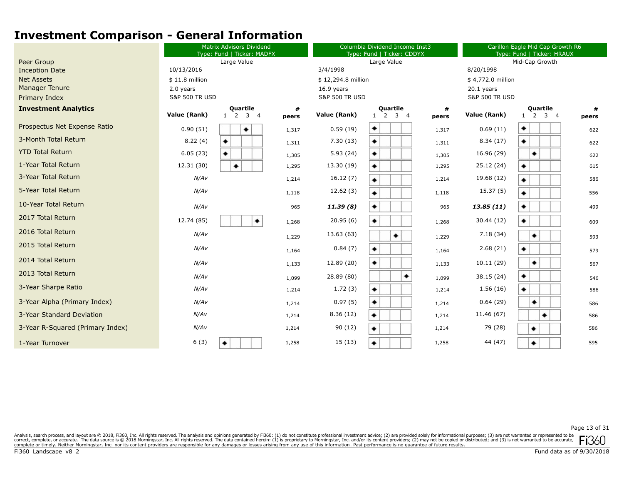|                                  | <b>Matrix Advisors Dividend</b><br>Type: Fund   Ticker: MADFX |                                    |            | Columbia Dividend Income Inst3<br>Type: Fund   Ticker: CDDYX |                                       |            | Carillon Eagle Mid Cap Growth R6<br>Type: Fund   Ticker: HRAUX |                                              |            |
|----------------------------------|---------------------------------------------------------------|------------------------------------|------------|--------------------------------------------------------------|---------------------------------------|------------|----------------------------------------------------------------|----------------------------------------------|------------|
| Peer Group                       |                                                               | Large Value                        |            |                                                              | Large Value                           |            | Mid-Cap Growth                                                 |                                              |            |
| <b>Inception Date</b>            | 10/13/2016                                                    |                                    |            | 3/4/1998                                                     |                                       |            | 8/20/1998                                                      |                                              |            |
| <b>Net Assets</b>                | $$11.8$ million                                               |                                    |            | \$12,294.8 million                                           |                                       |            | \$4,772.0 million                                              |                                              |            |
| <b>Manager Tenure</b>            | 2.0 years                                                     |                                    |            | 16.9 years                                                   |                                       |            | $20.1$ years                                                   |                                              |            |
| Primary Index                    | <b>S&amp;P 500 TR USD</b>                                     |                                    |            | <b>S&amp;P 500 TR USD</b>                                    |                                       |            | <b>S&amp;P 500 TR USD</b>                                      |                                              |            |
| <b>Investment Analytics</b>      | Value (Rank)                                                  | <b>Quartile</b><br>$1 \t2 \t3 \t4$ | #<br>peers | Value (Rank)                                                 | Quartile<br>2<br>3 <sub>4</sub><br>-1 | #<br>peers | Value (Rank)                                                   | <b>Quartile</b><br>$1\quad 2$<br>$3 \quad 4$ | #<br>peers |
| Prospectus Net Expense Ratio     | 0.90(51)                                                      | ٠                                  | 1,317      | 0.59(19)                                                     | ۰                                     | 1,317      | 0.69(11)                                                       | ۰                                            | 622        |
| 3-Month Total Return             | 8.22(4)                                                       | ۰                                  | 1,311      | 7.30(13)                                                     | ۰                                     | 1,311      | 8.34(17)                                                       | ۰                                            | 622        |
| <b>YTD Total Return</b>          | 6.05(23)                                                      | ٠                                  | 1,305      | 5.93(24)                                                     | ۰                                     | 1,305      | 16.96 (29)                                                     | ٠                                            | 622        |
| 1-Year Total Return              | 12.31 (30)                                                    | ٠                                  | 1,295      | 13.30 (19)                                                   | ۰                                     | 1,295      | 25.12 (24)                                                     | ۰                                            | 615        |
| 3-Year Total Return              | N/AV                                                          |                                    | 1,214      | 16.12(7)                                                     | ۰                                     | 1,214      | 19.68 (12)                                                     | ٠                                            | 586        |
| 5-Year Total Return              | N/AV                                                          |                                    | 1,118      | 12.62(3)                                                     | ٠                                     | 1,118      | 15.37(5)                                                       | ۰                                            | 556        |
| 10-Year Total Return             | N/AV                                                          |                                    | 965        | 11.39(8)                                                     | ۰                                     | 965        | 13.85(11)                                                      | ٠                                            | 499        |
| 2017 Total Return                | 12.74 (85)                                                    | ۰                                  | 1,268      | 20.95(6)                                                     | ۰                                     | 1,268      | 30.44 (12)                                                     | ٠                                            | 609        |
| 2016 Total Return                | N/AV                                                          |                                    | 1,229      | 13.63 (63)                                                   | ۰                                     | 1,229      | 7.18 (34)                                                      | ۰                                            | 593        |
| 2015 Total Return                | N/AV                                                          |                                    | 1,164      | 0.84(7)                                                      | ۰                                     | 1,164      | 2.68(21)                                                       | ٠                                            | 579        |
| 2014 Total Return                | N/AV                                                          |                                    | 1,133      | 12.89 (20)                                                   | ٠                                     | 1,133      | 10.11(29)                                                      | ۰                                            | 567        |
| 2013 Total Return                | N/AV                                                          |                                    | 1,099      | 28.89 (80)                                                   | ۰                                     | 1,099      | 38.15 (24)                                                     | ٠                                            | 546        |
| 3-Year Sharpe Ratio              | N/AV                                                          |                                    | 1,214      | 1.72(3)                                                      | ۰                                     | 1,214      | 1.56(16)                                                       | ٠                                            | 586        |
| 3-Year Alpha (Primary Index)     | N/AV                                                          |                                    | 1,214      | 0.97(5)                                                      | ۰                                     | 1,214      | 0.64(29)                                                       | ٠                                            | 586        |
| 3-Year Standard Deviation        | N/AV                                                          |                                    | 1,214      | 8.36(12)                                                     | ۰                                     | 1,214      | 11.46 (67)                                                     | ٠                                            | 586        |
| 3-Year R-Squared (Primary Index) | N/AV                                                          |                                    | 1,214      | 90 (12)                                                      | ۰                                     | 1,214      | 79 (28)                                                        | ٠                                            | 586        |
| 1-Year Turnover                  | 6(3)                                                          | ۰                                  | 1,258      | 15 (13)                                                      | ٠                                     | 1,258      | 44 (47)                                                        | ٠                                            | 595        |

Page 13 of 31

Analysis, search process, and layout are @ 2018, Fi360, Inc. All rights reserved. The analysis and opinions generated by Fi360: (1) do not constitute professional investment advice; (2) are provided solely for informationa correct, complete, or accurate. The data source is © 2018 Morningstar, Inc. All rights reserved. The data contained herein: (1) is proprietary to Morningstar, Inc. and/or its content providers, (2) may not be copied or dis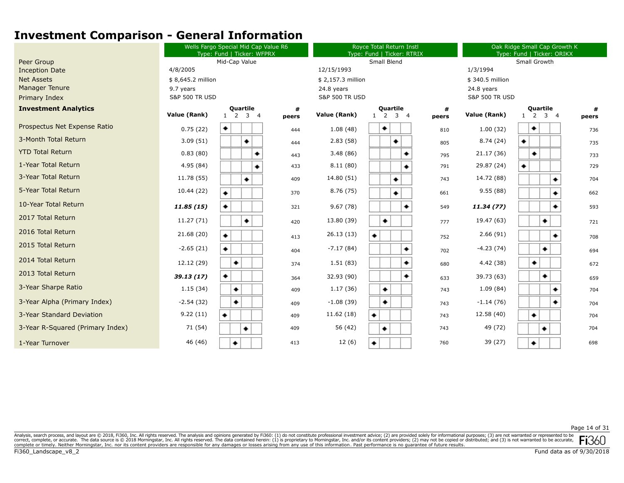|                                  | Wells Fargo Special Mid Cap Value R6<br>Type: Fund   Ticker: WFPRX |                                         |            | Royce Total Return Instl<br>Type: Fund   Ticker: RTRIX |                                      |            | Oak Ridge Small Cap Growth K<br>Type: Fund   Ticker: ORIKX |                             |            |  |
|----------------------------------|--------------------------------------------------------------------|-----------------------------------------|------------|--------------------------------------------------------|--------------------------------------|------------|------------------------------------------------------------|-----------------------------|------------|--|
| Peer Group                       |                                                                    | Mid-Cap Value                           |            |                                                        | Small Blend                          |            |                                                            | Small Growth                |            |  |
| <b>Inception Date</b>            | 4/8/2005                                                           |                                         |            | 12/15/1993                                             |                                      |            | 1/3/1994                                                   |                             |            |  |
| <b>Net Assets</b>                | \$8,645.2 million                                                  |                                         |            | \$2,157.3 million                                      |                                      |            | \$340.5 million                                            |                             |            |  |
| <b>Manager Tenure</b>            | 9.7 years                                                          |                                         |            | 24.8 years                                             |                                      |            | 24.8 years                                                 |                             |            |  |
| Primary Index                    | <b>S&amp;P 500 TR USD</b>                                          |                                         |            | <b>S&amp;P 500 TR USD</b>                              |                                      |            | <b>S&amp;P 500 TR USD</b>                                  |                             |            |  |
| <b>Investment Analytics</b>      | Value (Rank)                                                       | Quartile<br>$1 \quad 2 \quad 3 \quad 4$ | #<br>peers | Value (Rank)                                           | Quartile<br>3 <sub>1</sub><br>2<br>1 | #<br>peers | Value (Rank)                                               | Quartile<br>$1 \t2 \t3 \t4$ | #<br>peers |  |
| Prospectus Net Expense Ratio     | 0.75(22)                                                           | ٠                                       | 444        | 1.08(48)                                               | ٠                                    | 810        | 1.00(32)                                                   | ٠                           | 736        |  |
| 3-Month Total Return             | 3.09(51)                                                           | ٠                                       | 444        | 2.83(58)                                               | ٠                                    | 805        | 8.74(24)                                                   | ۰                           | 735        |  |
| <b>YTD Total Return</b>          | 0.83(80)                                                           | ۰                                       | 443        | 3.48(86)                                               |                                      | 795        | 21.17 (36)                                                 | ٠                           | 733        |  |
| 1-Year Total Return              | 4.95(84)                                                           | ۰                                       | 433        | 8.11(80)                                               |                                      | 791        | 29.87 (24)                                                 |                             | 729        |  |
| 3-Year Total Return              | 11.78 (55)                                                         | ٠                                       | 409        | 14.80 (51)                                             | ٠                                    | 743        | 14.72 (88)                                                 | ۰                           | 704        |  |
| 5-Year Total Return              | 10.44 (22)                                                         | ۰                                       | 370        | 8.76 (75)                                              | ۰                                    | 661        | 9.55(88)                                                   | ۰                           | 662        |  |
| 10-Year Total Return             | 11.85(15)                                                          | ۰                                       | 321        | 9.67(78)                                               | ۰                                    | 549        | 11.34(77)                                                  | ۰                           | 593        |  |
| 2017 Total Return                | 11.27 (71)                                                         | ٠                                       | 420        | 13.80 (39)                                             |                                      | 777        | 19.47 (63)                                                 | ٠                           | 721        |  |
| 2016 Total Return                | 21.68 (20)                                                         | ۰                                       | 413        | 26.13 (13)                                             | ٠                                    | 752        | 2.66(91)                                                   | ۰                           | 708        |  |
| 2015 Total Return                | $-2.65(21)$                                                        | ۰                                       | 404        | $-7.17(84)$                                            |                                      | 702        | $-4.23(74)$                                                | ۰                           | 694        |  |
| 2014 Total Return                | 12.12 (29)                                                         | ٠                                       | 374        | 1.51(83)                                               |                                      | 680        | 4.42 (38)                                                  | ۰                           | 672        |  |
| 2013 Total Return                | 39.13 (17)                                                         | ۰                                       | 364        | 32.93 (90)                                             |                                      | 633        | 39.73 (63)                                                 | ٠                           | 659        |  |
| 3-Year Sharpe Ratio              | 1.15(34)                                                           | ٠                                       | 409        | 1.17(36)                                               | ٠                                    | 743        | 1.09(84)                                                   | ۰                           | 704        |  |
| 3-Year Alpha (Primary Index)     | $-2.54(32)$                                                        | ۰                                       | 409        | $-1.08(39)$                                            | ٠                                    | 743        | $-1.14(76)$                                                |                             | 704        |  |
| 3-Year Standard Deviation        | 9.22(11)                                                           | ۰                                       | 409        | 11.62 (18)                                             | ۰                                    | 743        | 12.58 (40)                                                 | ٠                           | 704        |  |
| 3-Year R-Squared (Primary Index) | 71 (54)                                                            | ٠                                       | 409        | 56 (42)                                                | ٠                                    | 743        | 49 (72)                                                    | ٠                           | 704        |  |
| 1-Year Turnover                  | 46 (46)                                                            | ۰                                       | 413        | 12(6)                                                  | ٠                                    | 760        | 39 (27)                                                    | ۰                           | 698        |  |

Page 14 of 31

Analysis, search process, and layout are @ 2018, Fi360, Inc. All rights reserved. The analysis and opinions generated by Fi360: (1) do not constitute professional investment advice; (2) are provided solely for informationa correct, complete, or accurate. The data source is © 2018 Morningstar, Inc. All rights reserved. The data contained herein: (1) is proprietary to Morningstar, Inc. and/or its content providers, (2) may not be copied or dis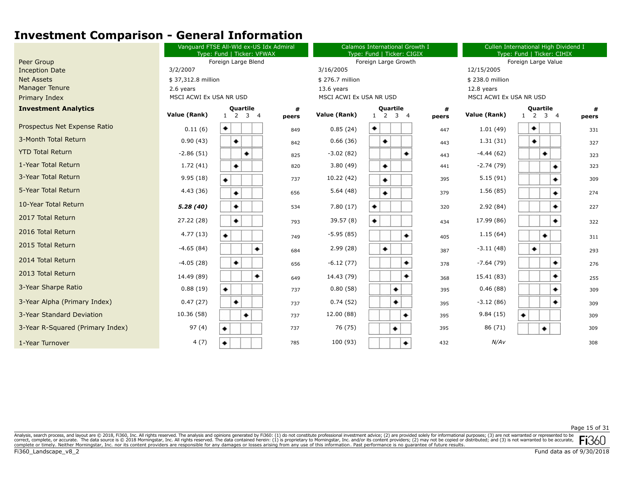|                                  | Vanguard FTSE All-Wld ex-US Idx Admiral<br>Type: Fund   Ticker: VFWAX |                                    |            | Calamos International Growth I<br>Type: Fund   Ticker: CIGIX |                                                   |            | Cullen International High Dividend I<br>Type: Fund   Ticker: CIHIX |                                              |            |  |
|----------------------------------|-----------------------------------------------------------------------|------------------------------------|------------|--------------------------------------------------------------|---------------------------------------------------|------------|--------------------------------------------------------------------|----------------------------------------------|------------|--|
| Peer Group                       |                                                                       | Foreign Large Blend                |            |                                                              | Foreign Large Growth                              |            |                                                                    | Foreign Large Value                          |            |  |
| <b>Inception Date</b>            | 3/2/2007                                                              |                                    |            | 3/16/2005                                                    |                                                   |            |                                                                    | 12/15/2005                                   |            |  |
| <b>Net Assets</b>                | \$37,312.8 million                                                    |                                    |            | \$276.7 million                                              |                                                   |            | \$238.0 million                                                    |                                              |            |  |
| <b>Manager Tenure</b>            | 2.6 years                                                             |                                    |            | $13.6$ years                                                 |                                                   |            | 12.8 years                                                         |                                              |            |  |
| Primary Index                    | MSCI ACWI Ex USA NR USD                                               |                                    |            | MSCI ACWI Ex USA NR USD                                      |                                                   |            | MSCI ACWI Ex USA NR USD                                            |                                              |            |  |
| <b>Investment Analytics</b>      | Value (Rank)                                                          | <b>Quartile</b><br>$1 \t2 \t3 \t4$ | #<br>peers | Value (Rank)                                                 | Quartile<br>$\overline{2}$<br>3 <sub>4</sub><br>1 | #<br>peers | Value (Rank)                                                       | <b>Quartile</b><br>$3 \quad 4$<br>$1\quad 2$ | #<br>peers |  |
| Prospectus Net Expense Ratio     | 0.11(6)                                                               | ٠                                  | 849        | 0.85(24)                                                     | ۰                                                 | 447        | 1.01(49)                                                           | ٠                                            | 331        |  |
| 3-Month Total Return             | 0.90(43)                                                              | ۰                                  | 842        | 0.66(36)                                                     | ٠                                                 | 443        | 1.31(31)                                                           | ٠                                            | 327        |  |
| <b>YTD Total Return</b>          | $-2.86(51)$                                                           | ۰                                  | 825        | $-3.02(82)$                                                  | ٠                                                 | 443        | $-4.44(62)$                                                        | ۰                                            | 323        |  |
| 1-Year Total Return              | 1.72(41)                                                              | ۰                                  | 820        | 3.80(49)                                                     | ۰                                                 | 441        | $-2.74(79)$                                                        | ٠                                            | 323        |  |
| 3-Year Total Return              | 9.95(18)                                                              |                                    | 737        | 10.22 (42)                                                   | ۰                                                 | 395        | 5.15(91)                                                           | ٠                                            | 309        |  |
| 5-Year Total Return              | 4.43(36)                                                              | ۰                                  | 656        | 5.64(48)                                                     | ٠                                                 | 379        | 1.56(85)                                                           | ٠                                            | 274        |  |
| 10-Year Total Return             | 5.28(40)                                                              | ٠                                  | 534        | 7.80(17)                                                     | ۰                                                 | 320        | 2.92(84)                                                           | ٠                                            | 227        |  |
| 2017 Total Return                | 27.22 (28)                                                            | ۰                                  | 793        | 39.57(8)                                                     | ٠                                                 | 434        | 17.99 (86)                                                         | ۰                                            | 322        |  |
| 2016 Total Return                | 4.77(13)                                                              | ۰                                  | 749        | $-5.95(85)$                                                  | ۰                                                 | 405        | 1.15(64)                                                           | ٠                                            | 311        |  |
| 2015 Total Return                | $-4.65(84)$                                                           | ٠                                  | 684        | 2.99(28)                                                     | ٠                                                 | 387        | $-3.11(48)$                                                        | ٠                                            | 293        |  |
| 2014 Total Return                | $-4.05(28)$                                                           | ٠                                  | 656        | $-6.12(77)$                                                  | ۰                                                 | 378        | $-7.64(79)$                                                        | ٠                                            | 276        |  |
| 2013 Total Return                | 14.49 (89)                                                            | ۰                                  | 649        | 14.43 (79)                                                   | ٠                                                 | 368        | 15.41 (83)                                                         | ٠                                            | 255        |  |
| 3-Year Sharpe Ratio              | 0.88(19)                                                              | ٠                                  | 737        | 0.80(58)                                                     | ٠                                                 | 395        | 0.46(88)                                                           | ۰                                            | 309        |  |
| 3-Year Alpha (Primary Index)     | 0.47(27)                                                              | ۰                                  | 737        | 0.74(52)                                                     | ٠                                                 | 395        | $-3.12(86)$                                                        | ٠                                            | 309        |  |
| 3-Year Standard Deviation        | 10.36 (58)                                                            | ٠                                  | 737        | 12.00 (88)                                                   | ۰                                                 | 395        | 9.84(15)                                                           | ۰                                            | 309        |  |
| 3-Year R-Squared (Primary Index) | 97(4)                                                                 | ۰                                  | 737        | 76 (75)                                                      | ٠                                                 | 395        | 86 (71)                                                            | ٠                                            | 309        |  |
| 1-Year Turnover                  | 4(7)                                                                  | ۰                                  | 785        | 100 (93)                                                     | ۰                                                 | 432        | N/AV                                                               |                                              | 308        |  |

Page 15 of 31

Analysis, search process, and layout are @ 2018, Fi360, Inc. All rights reserved. The analysis and opinions generated by Fi360: (1) do not constitute professional investment advice; (2) are provided solely for informationa correct, complete, or accurate. The data source is © 2018 Morningstar, Inc. All rights reserved. The data contained herein: (1) is proprietary to Morningstar, Inc. and/or its content providers, (2) may not be copied or dis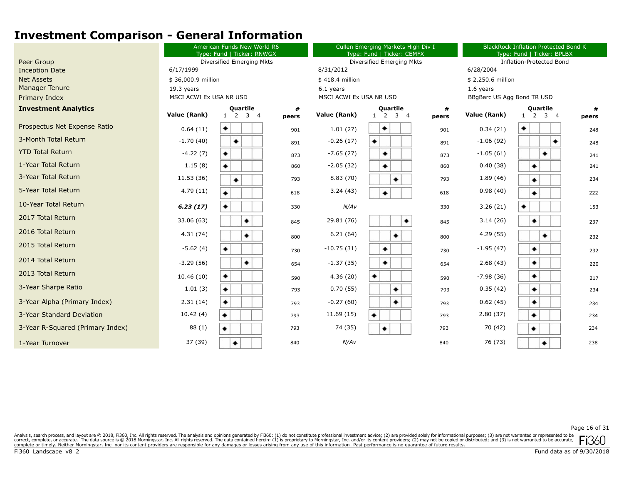|                                  |                         | American Funds New World R6<br>Type: Fund   Ticker: RNWGX |            |                         | Cullen Emerging Markets High Div I<br>Type: Fund   Ticker: CEMFX |            |                            | <b>BlackRock Inflation Protected Bond K</b><br>Type: Fund   Ticker: BPLBX |            |  |
|----------------------------------|-------------------------|-----------------------------------------------------------|------------|-------------------------|------------------------------------------------------------------|------------|----------------------------|---------------------------------------------------------------------------|------------|--|
| Peer Group                       |                         | Diversified Emerging Mkts                                 |            |                         | Diversified Emerging Mkts                                        |            |                            | <b>Inflation-Protected Bond</b>                                           |            |  |
| <b>Inception Date</b>            | 6/17/1999               |                                                           |            | 8/31/2012               |                                                                  |            |                            | 6/28/2004                                                                 |            |  |
| <b>Net Assets</b>                |                         | \$36,000.9 million                                        |            |                         | \$418.4 million                                                  |            |                            | \$2,250.6 million                                                         |            |  |
| <b>Manager Tenure</b>            | 19.3 years              |                                                           |            | 6.1 years               |                                                                  |            | 1.6 years                  |                                                                           |            |  |
| Primary Index                    | MSCI ACWI Ex USA NR USD |                                                           |            | MSCI ACWI Ex USA NR USD |                                                                  |            | BBgBarc US Agg Bond TR USD |                                                                           |            |  |
| <b>Investment Analytics</b>      | Value (Rank)            | <b>Quartile</b><br>3 <sup>4</sup><br>$1\quad 2$           | #<br>peers | Value (Rank)            | <b>Quartile</b><br>2<br>3 <sub>4</sub><br>$\mathbf{1}$           | #<br>peers | Value (Rank)               | <b>Quartile</b><br>3 <sub>1</sub><br>$1\quad 2$                           | #<br>peers |  |
| Prospectus Net Expense Ratio     | 0.64(11)                | ٠                                                         | 901        | 1.01(27)                | ٠                                                                | 901        | 0.34(21)                   | ۰                                                                         | 248        |  |
| 3-Month Total Return             | $-1.70(40)$             | ۰                                                         | 891        | $-0.26(17)$             | ۰                                                                | 891        | $-1.06(92)$                | ۰                                                                         | 248        |  |
| <b>YTD Total Return</b>          | $-4.22(7)$              | ۰                                                         | 873        | $-7.65(27)$             | ٠                                                                | 873        | $-1.05(61)$                | ٠                                                                         | 241        |  |
| 1-Year Total Return              | 1.15(8)                 | ۰                                                         | 860        | $-2.05(32)$             | ۰                                                                | 860        | 0.40(38)                   | ٠                                                                         | 241        |  |
| 3-Year Total Return              | 11.53 (36)              | ٠                                                         | 793        | 8.83(70)                | ٠                                                                | 793        | 1.89(46)                   | ٠                                                                         | 234        |  |
| 5-Year Total Return              | 4.79(11)                | ٠                                                         | 618        | 3.24(43)                | ۰                                                                | 618        | 0.98(40)                   | ۰                                                                         | 222        |  |
| 10-Year Total Return             | 6.23(17)                | ٠                                                         | 330        | N/AV                    |                                                                  | 330        | 3.26(21)                   | ٠                                                                         | 153        |  |
| 2017 Total Return                | 33.06 (63)              | ٠                                                         | 845        | 29.81 (76)              | ۰                                                                | 845        | 3.14(26)                   | ۰                                                                         | 237        |  |
| 2016 Total Return                | 4.31(74)                | ۰                                                         | 800        | 6.21(64)                | ٠                                                                | 800        | 4.29 (55)                  | ٠                                                                         | 232        |  |
| 2015 Total Return                | $-5.62(4)$              | ٠                                                         | 730        | $-10.75(31)$            | ٠                                                                | 730        | $-1.95(47)$                | ٠                                                                         | 232        |  |
| 2014 Total Return                | $-3.29(56)$             | ۰                                                         | 654        | $-1.37(35)$             | ۰                                                                | 654        | 2.68(43)                   | ۰                                                                         | 220        |  |
| 2013 Total Return                | 10.46(10)               | ٠                                                         | 590        | 4.36(20)                | ۰                                                                | 590        | $-7.98(36)$                | ٠                                                                         | 217        |  |
| 3-Year Sharpe Ratio              | 1.01(3)                 | ٠                                                         | 793        | 0.70(55)                | ٠                                                                | 793        | 0.35(42)                   | ٠                                                                         | 234        |  |
| 3-Year Alpha (Primary Index)     | 2.31(14)                | ۰                                                         | 793        | $-0.27(60)$             | ٠                                                                | 793        | 0.62(45)                   | ۰                                                                         | 234        |  |
| 3-Year Standard Deviation        | 10.42(4)                | ۰                                                         | 793        | 11.69 (15)              | ۰                                                                | 793        | 2.80(37)                   | ۰                                                                         | 234        |  |
| 3-Year R-Squared (Primary Index) | 88 (1)                  | ۰                                                         | 793        | 74 (35)                 | ٠                                                                | 793        | 70 (42)                    | ٠                                                                         | 234        |  |
| 1-Year Turnover                  | 37 (39)                 | ٠                                                         | 840        | N/AV                    |                                                                  | 840        | 76 (73)                    | ٠                                                                         | 238        |  |

Page 16 of 31

Analysis, search process, and layout are © 2018, Fi360, Inc. All rights reserved. The analysis and opinions generated by Fi360: (1) do not constitute professional investment advice; (2) are provided solely for informationa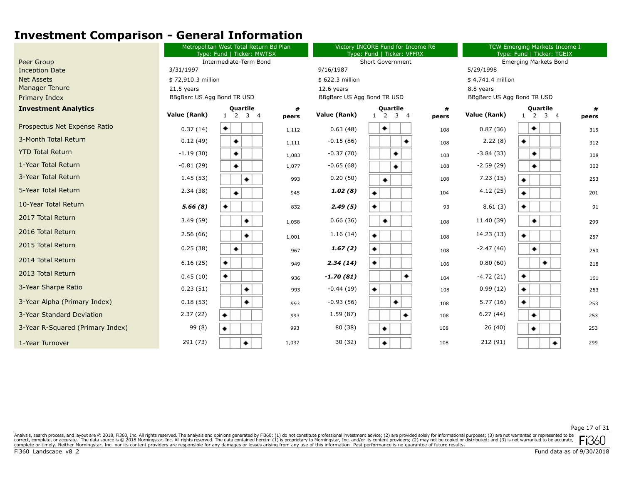|                                  | Metropolitan West Total Return Bd Plan<br>Type: Fund   Ticker: MWTSX |                                              |            |                            | Victory INCORE Fund for Income R6<br>Type: Fund   Ticker: VFFRX |            | TCW Emerging Markets Income I<br>Type: Fund   Ticker: TGEIX |                             |            |
|----------------------------------|----------------------------------------------------------------------|----------------------------------------------|------------|----------------------------|-----------------------------------------------------------------|------------|-------------------------------------------------------------|-----------------------------|------------|
| Peer Group                       |                                                                      | Intermediate-Term Bond                       |            |                            | <b>Short Government</b>                                         |            | <b>Emerging Markets Bond</b>                                |                             |            |
| <b>Inception Date</b>            | 3/31/1997                                                            |                                              |            |                            |                                                                 |            | 5/29/1998                                                   |                             |            |
| <b>Net Assets</b>                | \$72,910.3 million                                                   |                                              |            | \$622.3 million            |                                                                 |            | \$4,741.4 million                                           |                             |            |
| <b>Manager Tenure</b>            | 21.5 years                                                           |                                              |            | 12.6 years                 |                                                                 |            | 8.8 years                                                   |                             |            |
| Primary Index                    | BBgBarc US Agg Bond TR USD                                           |                                              |            | BBgBarc US Agg Bond TR USD |                                                                 |            | BBgBarc US Agg Bond TR USD                                  |                             |            |
| <b>Investment Analytics</b>      | Value (Rank)                                                         | <b>Quartile</b><br>$1\quad 2$<br>$3 \quad 4$ | #<br>peers | Value (Rank)               | <b>Quartile</b><br>2<br>3 <sub>4</sub><br>$\mathbf{1}$          | #<br>peers | Value (Rank)                                                | Quartile<br>$1 \t2 \t3 \t4$ | #<br>peers |
| Prospectus Net Expense Ratio     | 0.37(14)                                                             | ۰                                            | 1,112      | 0.63(48)                   | ٠                                                               | 108        | 0.87(36)                                                    | ٠                           | 315        |
| 3-Month Total Return             | 0.12(49)                                                             | ٠                                            | 1,111      | $-0.15(86)$                |                                                                 | 108        | 2.22(8)                                                     | ۰                           | 312        |
| <b>YTD Total Return</b>          | $-1.19(30)$                                                          | ۰                                            | 1,083      | $-0.37(70)$                | ۰                                                               | 108        | $-3.84(33)$                                                 | ٠                           | 308        |
| 1-Year Total Return              | $-0.81(29)$                                                          | ٠                                            | 1,077      | $-0.65(68)$                | ۰                                                               | 108        | $-2.59(29)$                                                 | ٠                           | 302        |
| 3-Year Total Return              | 1.45(53)                                                             | ٠                                            | 993        | 0.20(50)                   | ۰                                                               | 108        | 7.23(15)                                                    | ۰                           | 253        |
| 5-Year Total Return              | 2.34(38)                                                             | ۰                                            | 945        | 1.02(8)                    | ۰                                                               | 104        | 4.12(25)                                                    | ۰                           | 201        |
| 10-Year Total Return             | 5.66(8)                                                              | ٠                                            | 832        | 2.49(5)                    | ۰                                                               | 93         | 8.61(3)                                                     | ٠                           | 91         |
| 2017 Total Return                | 3.49(59)                                                             | ٠                                            | 1,058      | 0.66(36)                   | ٠                                                               | 108        | 11.40 (39)                                                  | ٠                           | 299        |
| 2016 Total Return                | 2.56(66)                                                             | ۰                                            | 1,001      | 1.16(14)                   | ۰                                                               | 108        | 14.23 (13)                                                  | ۰                           | 257        |
| 2015 Total Return                | 0.25(38)                                                             | ٠                                            | 967        | 1.67(2)                    | ۰                                                               | 108        | $-2.47(46)$                                                 | ٠                           | 250        |
| 2014 Total Return                | 6.16(25)                                                             | ۰                                            | 949        | 2.34(14)                   | ٠                                                               | 106        | 0.80(60)                                                    | ٠                           | 218        |
| 2013 Total Return                | 0.45(10)                                                             | ٠                                            | 936        | $-1.70(81)$                | ۰                                                               | 104        | $-4.72(21)$                                                 | ۰                           | 161        |
| 3-Year Sharpe Ratio              | 0.23(51)                                                             | ۰                                            | 993        | $-0.44(19)$                | ۰                                                               | 108        | 0.99(12)                                                    | ٠                           | 253        |
| 3-Year Alpha (Primary Index)     | 0.18(53)                                                             | ۰                                            | 993        | $-0.93(56)$                | ۰                                                               | 108        | 5.77(16)                                                    | ٠                           | 253        |
| 3-Year Standard Deviation        | 2.37(22)                                                             | ٠                                            | 993        | 1.59(87)                   | ٠                                                               | 108        | 6.27(44)                                                    | ٠                           | 253        |
| 3-Year R-Squared (Primary Index) | 99 (8)                                                               | ۰                                            | 993        | 80 (38)                    | ٠                                                               | 108        | 26 (40)                                                     | ٠                           | 253        |
| 1-Year Turnover                  | 291 (73)                                                             |                                              | 1,037      | 30(32)                     | ٠                                                               | 108        | 212 (91)                                                    | ٠                           | 299        |
|                                  |                                                                      |                                              |            |                            |                                                                 |            |                                                             |                             |            |

Page 17 of 31

Analysis, search process, and layout are @ 2018, Fi360, Inc. All rights reserved. The analysis and opinions generated by Fi360: (1) do not constitute professional investment advice; (2) are provided solely for informationa correct, complete, or accurate. The data source is © 2018 Morningstar, Inc. All rights reserved. The data contained herein: (1) is proprietary to Morningstar, Inc. and/or its content providers, (2) may not be copied or dis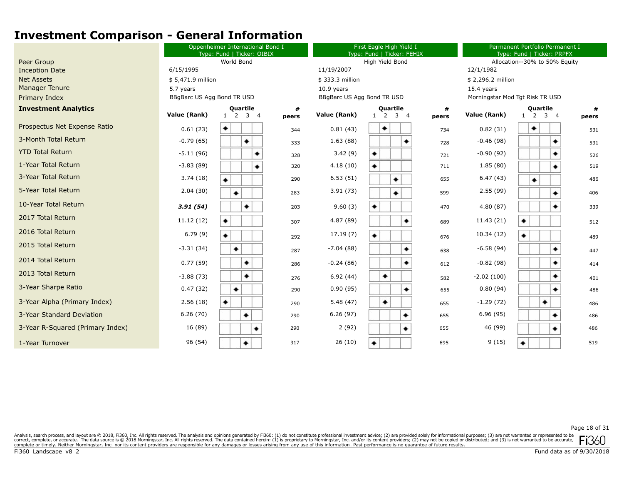|                                  | Oppenheimer International Bond I<br>Type: Fund   Ticker: OIBIX |                                                 |            | First Eagle High Yield I<br>Type: Fund   Ticker: FEHIX |                                                                   |            | Permanent Portfolio Permanent I<br>Type: Fund   Ticker: PRPFX |                                                |       |  |
|----------------------------------|----------------------------------------------------------------|-------------------------------------------------|------------|--------------------------------------------------------|-------------------------------------------------------------------|------------|---------------------------------------------------------------|------------------------------------------------|-------|--|
| Peer Group                       |                                                                | World Bond                                      |            |                                                        | High Yield Bond                                                   |            |                                                               | Allocation--30% to 50% Equity                  |       |  |
| <b>Inception Date</b>            | 6/15/1995                                                      |                                                 |            | 11/19/2007                                             |                                                                   |            | 12/1/1982                                                     |                                                |       |  |
| <b>Net Assets</b>                | \$5,471.9 million                                              |                                                 |            | \$333.3 million                                        |                                                                   |            | \$2,296.2 million                                             |                                                |       |  |
| Manager Tenure                   | 5.7 years                                                      |                                                 |            | $10.9$ years                                           |                                                                   |            | 15.4 years                                                    |                                                |       |  |
| Primary Index                    | BBgBarc US Agg Bond TR USD                                     |                                                 |            | BBgBarc US Agg Bond TR USD                             |                                                                   |            |                                                               | Morningstar Mod Tgt Risk TR USD                |       |  |
| <b>Investment Analytics</b>      | Value (Rank)                                                   | <b>Quartile</b><br>$1\quad 2$<br>3 <sub>1</sub> | #<br>peers | Value (Rank)                                           | <b>Quartile</b><br><sup>2</sup><br>3 <sub>4</sub><br>$\mathbf{1}$ | #<br>peers | Value (Rank)                                                  | <b>Quartile</b><br>$1 \quad 2 \quad 3 \quad 4$ | peers |  |
| Prospectus Net Expense Ratio     | 0.61(23)                                                       | ۰                                               | 344        | 0.81(43)                                               | ٠                                                                 | 734        | 0.82(31)                                                      | ٠                                              | 531   |  |
| 3-Month Total Return             | $-0.79(65)$                                                    | ۰                                               | 333        | 1.63(88)                                               | ٠                                                                 | 728        | $-0.46(98)$                                                   | ٠                                              | 531   |  |
| <b>YTD Total Return</b>          | $-5.11(96)$                                                    | ۰                                               | 328        | 3.42(9)                                                | ۰                                                                 | 721        | $-0.90(92)$                                                   | ٠                                              | 526   |  |
| 1-Year Total Return              | $-3.83(89)$                                                    | ۰                                               | 320        | 4.18(10)                                               | ۰                                                                 | 711        | 1.85(80)                                                      | ٠                                              | 519   |  |
| 3-Year Total Return              | 3.74(18)                                                       | ۰                                               | 290        | 6.53(51)                                               | ٠                                                                 | 655        | 6.47(43)                                                      | ٠                                              | 486   |  |
| 5-Year Total Return              | 2.04(30)                                                       | ٠                                               | 283        | 3.91(73)                                               | ۰                                                                 | 599        | 2.55(99)                                                      | ٠                                              | 406   |  |
| 10-Year Total Return             | 3.91(54)                                                       | ٠                                               | 203        | 9.60(3)                                                | ۰                                                                 | 470        | 4.80(87)                                                      | ٠                                              | 339   |  |
| 2017 Total Return                | 11.12 (12)                                                     | ۰                                               | 307        | 4.87 (89)                                              | ۰                                                                 | 689        | 11.43 (21)                                                    | ۰                                              | 512   |  |
| 2016 Total Return                | 6.79(9)                                                        | ٠                                               | 292        | 17.19 (7)                                              | ۰                                                                 | 676        | 10.34(12)                                                     | ۰                                              | 489   |  |
| 2015 Total Return                | $-3.31(34)$                                                    | ۰                                               | 287        | $-7.04(88)$                                            | ٠                                                                 | 638        | $-6.58(94)$                                                   | ۰                                              | 447   |  |
| 2014 Total Return                | 0.77(59)                                                       | ٠                                               | 286        | $-0.24(86)$                                            | ۰                                                                 | 612        | $-0.82(98)$                                                   | ۰                                              | 414   |  |
| 2013 Total Return                | $-3.88(73)$                                                    | ٠                                               | 276        | 6.92(44)                                               | ٠                                                                 | 582        | $-2.02(100)$                                                  | ۰                                              | 401   |  |
| 3-Year Sharpe Ratio              | 0.47(32)                                                       | ٠                                               | 290        | 0.90(95)                                               | ٠                                                                 | 655        | 0.80(94)                                                      | ٠                                              | 486   |  |
| 3-Year Alpha (Primary Index)     | 2.56(18)                                                       | ۰                                               | 290        | 5.48(47)                                               | ۰                                                                 | 655        | $-1.29(72)$                                                   | ٠                                              | 486   |  |
| 3-Year Standard Deviation        | 6.26(70)                                                       | ۰                                               | 290        | 6.26(97)                                               | ۰                                                                 | 655        | 6.96(95)                                                      | ۰                                              | 486   |  |
| 3-Year R-Squared (Primary Index) | 16 (89)                                                        | ۰                                               | 290        | 2(92)                                                  | ٠                                                                 | 655        | 46 (99)                                                       | ۰                                              | 486   |  |
| 1-Year Turnover                  | 96 (54)                                                        |                                                 | 317        | 26(10)                                                 | ٠                                                                 | 695        | 9(15)                                                         | ۰                                              | 519   |  |

Page 18 of 31

Analysis, search process, and layout are @ 2018, Fi360, Inc. All rights reserved. The analysis and opinions generated by Fi360: (1) do not constitute professional investment advice; (2) are provided solely for informationa correct, complete, or accurate. The data source is © 2018 Morningstar, Inc. All rights reserved. The data contained herein: (1) is proprietary to Morningstar, Inc. and/or its content providers, (2) may not be copied or dis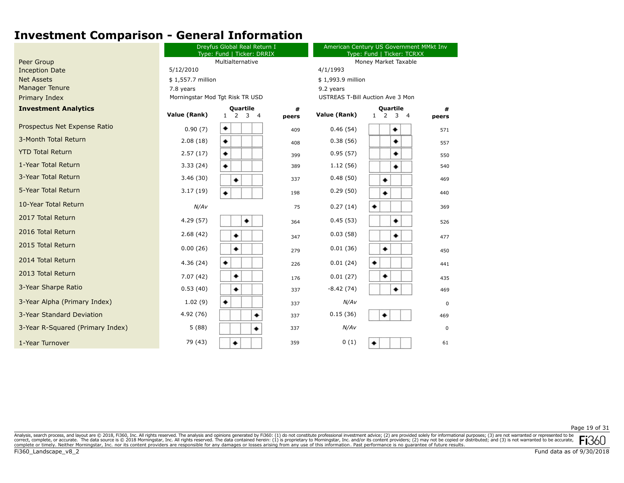|                                  |                                 | Dreyfus Global Real Return I<br>Type: Fund   Ticker: DRRIX |            | American Century US Government MMkt Inv<br>Type: Fund   Ticker: TCRXX |                                                            |             |  |
|----------------------------------|---------------------------------|------------------------------------------------------------|------------|-----------------------------------------------------------------------|------------------------------------------------------------|-------------|--|
| Peer Group                       |                                 | Multialternative                                           |            |                                                                       | Money Market Taxable                                       |             |  |
| <b>Inception Date</b>            | 5/12/2010                       |                                                            |            | 4/1/1993                                                              |                                                            |             |  |
| <b>Net Assets</b>                | \$1,557.7 million               |                                                            |            | \$1,993.9 million                                                     |                                                            |             |  |
| <b>Manager Tenure</b>            | 7.8 years                       |                                                            |            | 9.2 years                                                             |                                                            |             |  |
| Primary Index                    | Morningstar Mod Tgt Risk TR USD |                                                            |            |                                                                       | USTREAS T-Bill Auction Ave 3 Mon                           |             |  |
| <b>Investment Analytics</b>      | Value (Rank)                    | <b>Quartile</b><br>$1 \t2 \t3 \t4$                         | #<br>peers | Value (Rank)                                                          | Quartile<br>$1\quad 2$<br>$\overline{3}$<br>$\overline{4}$ | #<br>peers  |  |
| Prospectus Net Expense Ratio     | 0.90(7)                         | ٠                                                          | 409        | 0.46(54)                                                              | ٠                                                          | 571         |  |
| 3-Month Total Return             | 2.08(18)                        | ٠                                                          | 408        | 0.38(56)                                                              | ٠                                                          | 557         |  |
| <b>YTD Total Return</b>          | 2.57(17)                        | ٠                                                          | 399        | 0.95(57)                                                              | ٠                                                          | 550         |  |
| 1-Year Total Return              | 3.33(24)                        | ۰                                                          | 389        | 1.12(56)                                                              | ٠                                                          | 540         |  |
| 3-Year Total Return              | 3.46(30)                        | ۰                                                          | 337        | 0.48(50)                                                              | ۰                                                          | 469         |  |
| 5-Year Total Return              | 3.17(19)                        |                                                            | 198        | 0.29(50)                                                              | ۰                                                          | 440         |  |
| 10-Year Total Return             | N/AV                            |                                                            | 75         | 0.27(14)                                                              |                                                            | 369         |  |
| 2017 Total Return                | 4.29(57)                        | ٠                                                          | 364        | 0.45(53)                                                              | ٠                                                          | 526         |  |
| 2016 Total Return                | 2.68(42)                        |                                                            | 347        | 0.03(58)                                                              | ٠                                                          | 477         |  |
| 2015 Total Return                | 0.00(26)                        | ٠                                                          | 279        | 0.01(36)                                                              | ٠                                                          | 450         |  |
| 2014 Total Return                | 4.36(24)                        | ٠                                                          | 226        | 0.01(24)                                                              | ۰                                                          | 441         |  |
| 2013 Total Return                | 7.07(42)                        | ٠                                                          | 176        | 0.01(27)                                                              | ٠                                                          | 435         |  |
| 3-Year Sharpe Ratio              | 0.53(40)                        | ۰                                                          | 337        | $-8.42(74)$                                                           | ٠                                                          | 469         |  |
| 3-Year Alpha (Primary Index)     | 1.02(9)                         | ۰                                                          | 337        | N/AV                                                                  |                                                            | $\mathbf 0$ |  |
| 3-Year Standard Deviation        | 4.92 (76)                       |                                                            | 337        | 0.15(36)                                                              | ٠                                                          | 469         |  |
| 3-Year R-Squared (Primary Index) | 5(88)                           | ٠                                                          | 337        | N/AV                                                                  |                                                            | 0           |  |
| 1-Year Turnover                  | 79 (43)                         | ۰                                                          | 359        | 0(1)                                                                  |                                                            | 61          |  |

Page 19 of 31

Analysis, search process, and layout are © 2018, Fi360, Inc. All rights reserved. The analysis and opinions generated by Fi360: (1) do not constitute professional investment advice; (2) are provided solely for informationa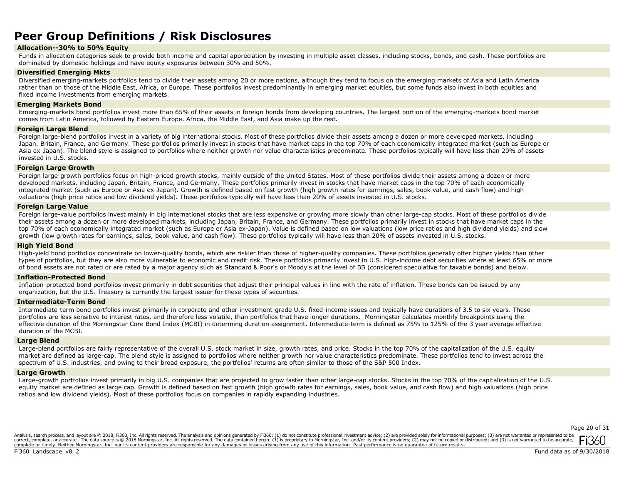## **Peer Group Definitions / Risk Disclosures**

## **Allocation--30% to 50% Equity**

Funds in allocation categories seek to provide both income and capital appreciation by investing in multiple asset classes, including stocks, bonds, and cash. These portfolios are dominated by domestic holdings and have equity exposures between 30% and 50%.

## **Diversified Emerging Mkts**

Diversified emerging-markets portfolios tend to divide their assets among 20 or more nations, although they tend to focus on the emerging markets of Asia and Latin America rather than on those of the Middle East, Africa, or Europe. These portfolios invest predominantly in emerging market equities, but some funds also invest in both equities and fixed income investments from emerging markets.

## **Emerging Markets Bond**

Emerging-markets bond portfolios invest more than 65% of their assets in foreign bonds from developing countries. The largest portion of the emerging-markets bond market comes from Latin America, followed by Eastern Europe. Africa, the Middle East, and Asia make up the rest.

#### **Foreign Large Blend**

Foreign large-blend portfolios invest in a variety of big international stocks. Most of these portfolios divide their assets among a dozen or more developed markets, including Japan, Britain, France, and Germany. These portfolios primarily invest in stocks that have market caps in the top 70% of each economically integrated market (such as Europe or Asia ex-Japan). The blend style is assigned to portfolios where neither growth nor value characteristics predominate. These portfolios typically will have less than 20% of assets invested in U.S. stocks.

## **Foreign Large Growth**

Foreign large-growth portfolios focus on high-priced growth stocks, mainly outside of the United States. Most of these portfolios divide their assets among a dozen or more developed markets, including Japan, Britain, France, and Germany. These portfolios primarily invest in stocks that have market caps in the top 70% of each economically integrated market (such as Europe or Asia ex-Japan). Growth is defined based on fast growth (high growth rates for earnings, sales, book value, and cash flow) and high valuations (high price ratios and low dividend yields). These portfolios typically will have less than 20% of assets invested in U.S. stocks.

### **Foreign Large Value**

Foreign large-value portfolios invest mainly in big international stocks that are less expensive or growing more slowly than other large-cap stocks. Most of these portfolios divide their assets among a dozen or more developed markets, including Japan, Britain, France, and Germany. These portfolios primarily invest in stocks that have market caps in the top 70% of each economically integrated market (such as Europe or Asia ex-Japan). Value is defined based on low valuations (low price ratios and high dividend yields) and slow growth (low growth rates for earnings, sales, book value, and cash flow). These portfolios typically will have less than 20% of assets invested in U.S. stocks.

#### **High Yield Bond**

High-yield bond portfolios concentrate on lower-quality bonds, which are riskier than those of higher-quality companies. These portfolios generally offer higher yields than other types of portfolios, but they are also more vulnerable to economic and credit risk. These portfolios primarily invest in U.S. high-income debt securities where at least 65% or more of bond assets are not rated or are rated by a major agency such as Standard & Poor's or Moody's at the level of BB (considered speculative for taxable bonds) and below.

#### **Inflation-Protected Bond**

Inflation-protected bond portfolios invest primarily in debt securities that adjust their principal values in line with the rate of inflation. These bonds can be issued by any organization, but the U.S. Treasury is currently the largest issuer for these types of securities.

### **Intermediate-Term Bond**

Intermediate-term bond portfolios invest primarily in corporate and other investment-grade U.S. fixed-income issues and typically have durations of 3.5 to six years. These portfolios are less sensitive to interest rates, and therefore less volatile, than portfolios that have longer durations. Morningstar calculates monthly breakpoints using the effective duration of the Morningstar Core Bond Index (MCBI) in determing duration assignment. Intermediate-term is defined as 75% to 125% of the 3 year average effective duration of the MCBI.

#### **Large Blend**

Large-blend portfolios are fairly representative of the overall U.S. stock market in size, growth rates, and price. Stocks in the top 70% of the capitalization of the U.S. equity market are defined as large-cap. The blend style is assigned to portfolios where neither growth nor value characteristics predominate. These portfolios tend to invest across the spectrum of U.S. industries, and owing to their broad exposure, the portfolios' returns are often similar to those of the S&P 500 Index.

#### **Large Growth**

Large-growth portfolios invest primarily in big U.S. companies that are projected to grow faster than other large-cap stocks. Stocks in the top 70% of the capitalization of the U.S. equity market are defined as large cap. Growth is defined based on fast growth (high growth rates for earnings, sales, book value, and cash flow) and high valuations (high price ratios and low dividend yields). Most of these portfolios focus on companies in rapidly expanding industries.

Analysis, search process, and layout are © 2018, Fi360, Inc. All rights reserved. The analysis and opinions generated by Fi360: (1) do not constitute professional investment advice; (2) are provided solely for informationa correct, complete, or accurate. The data source is © 2018 Morningstar, Inc. All rights reserved. The data contained herein: (1) is proprietary to Morningstar, Inc. and/or its content providers; (2) may not be copied or dis complete or timely. Neither Morningstar, Inc. nor its content providers are responsible for any damages or losses arising from any use of this information. Past performance is no guarantee of future results.

Page 20 of 31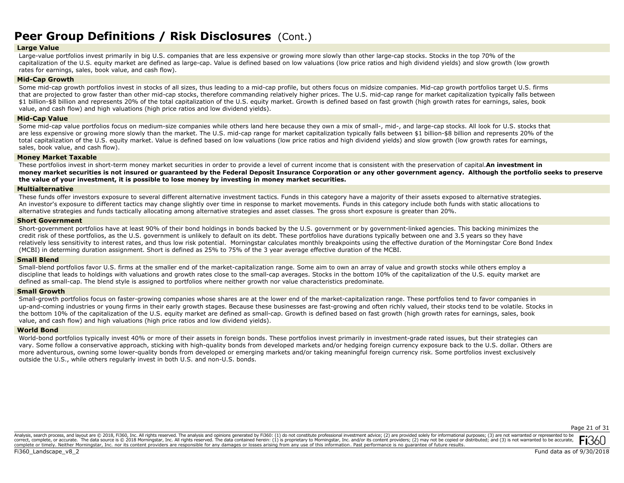## **Peer Group Definitions / Risk Disclosures** (Cont.)

## **Large Value**

Large-value portfolios invest primarily in big U.S. companies that are less expensive or growing more slowly than other large-cap stocks. Stocks in the top 70% of the capitalization of the U.S. equity market are defined as large-cap. Value is defined based on low valuations (low price ratios and high dividend yields) and slow growth (low growth rates for earnings, sales, book value, and cash flow).

## **Mid-Cap Growth**

Some mid-cap growth portfolios invest in stocks of all sizes, thus leading to a mid-cap profile, but others focus on midsize companies. Mid-cap growth portfolios target U.S. firms that are projected to grow faster than other mid-cap stocks, therefore commanding relatively higher prices. The U.S. mid-cap range for market capitalization typically falls between \$1 billion-\$8 billion and represents 20% of the total capitalization of the U.S. equity market. Growth is defined based on fast growth (high growth rates for earnings, sales, book value, and cash flow) and high valuations (high price ratios and low dividend yields).

## **Mid-Cap Value**

Some mid-cap value portfolios focus on medium-size companies while others land here because they own a mix of small-, mid-, and large-cap stocks. All look for U.S. stocks that are less expensive or growing more slowly than the market. The U.S. mid-cap range for market capitalization typically falls between \$1 billion-\$8 billion and represents 20% of the total capitalization of the U.S. equity market. Value is defined based on low valuations (low price ratios and high dividend yields) and slow growth (low growth rates for earnings, sales, book value, and cash flow).

## **Money Market Taxable**

These portfolios invest in short-term money market securities in order to provide a level of current income that is consistent with the preservation of capital.**An investment in money market securities is not insured or guaranteed by the Federal Deposit Insurance Corporation or any other government agency. Although the portfolio seeks to preserve the value of your investment, it is possible to lose money by investing in money market securities.**

## **Multialternative**

These funds offer investors exposure to several different alternative investment tactics. Funds in this category have a majority of their assets exposed to alternative strategies. An investor's exposure to different tactics may change slightly over time in response to market movements. Funds in this category include both funds with static allocations to alternative strategies and funds tactically allocating among alternative strategies and asset classes. The gross short exposure is greater than 20%.

## **Short Government**

Short-government portfolios have at least 90% of their bond holdings in bonds backed by the U.S. government or by government-linked agencies. This backing minimizes the credit risk of these portfolios, as the U.S. government is unlikely to default on its debt. These portfolios have durations typically between one and 3.5 years so they have relatively less sensitivity to interest rates, and thus low risk potential. Morningstar calculates monthly breakpoints using the effective duration of the Morningstar Core Bond Index (MCBI) in determing duration assignment. Short is defined as 25% to 75% of the 3 year average effective duration of the MCBI.

### **Small Blend**

Small-blend portfolios favor U.S. firms at the smaller end of the market-capitalization range. Some aim to own an array of value and growth stocks while others employ a discipline that leads to holdings with valuations and growth rates close to the small-cap averages. Stocks in the bottom 10% of the capitalization of the U.S. equity market are defined as small-cap. The blend style is assigned to portfolios where neither growth nor value characteristics predominate.

### **Small Growth**

Small-growth portfolios focus on faster-growing companies whose shares are at the lower end of the market-capitalization range. These portfolios tend to favor companies in up-and-coming industries or young firms in their early growth stages. Because these businesses are fast-growing and often richly valued, their stocks tend to be volatile. Stocks in the bottom 10% of the capitalization of the U.S. equity market are defined as small-cap. Growth is defined based on fast growth (high growth rates for earnings, sales, book value, and cash flow) and high valuations (high price ratios and low dividend yields).

### **World Bond**

World-bond portfolios typically invest 40% or more of their assets in foreign bonds. These portfolios invest primarily in investment-grade rated issues, but their strategies can vary. Some follow a conservative approach, sticking with high-quality bonds from developed markets and/or hedging foreign currency exposure back to the U.S. dollar. Others are more adventurous, owning some lower-quality bonds from developed or emerging markets and/or taking meaningful foreign currency risk. Some portfolios invest exclusively outside the U.S., while others regularly invest in both U.S. and non-U.S. bonds.

Page 21 of 31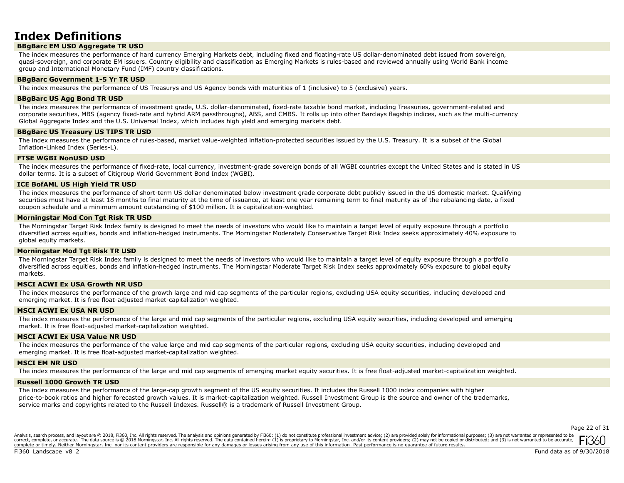## **Index Definitions**

## **BBgBarc EM USD Aggregate TR USD**

The index measures the performance of hard currency Emerging Markets debt, including fixed and floating-rate US dollar-denominated debt issued from sovereign, quasi-sovereign, and corporate EM issuers. Country eligibility and classification as Emerging Markets is rules-based and reviewed annually using World Bank income group and International Monetary Fund (IMF) country classifications.

### **BBgBarc Government 1-5 Yr TR USD**

The index measures the performance of US Treasurys and US Agency bonds with maturities of 1 (inclusive) to 5 (exclusive) years.

#### **BBgBarc US Agg Bond TR USD**

The index measures the performance of investment grade, U.S. dollar-denominated, fixed-rate taxable bond market, including Treasuries, government-related and corporate securities, MBS (agency fixed-rate and hybrid ARM passthroughs), ABS, and CMBS. It rolls up into other Barclays flagship indices, such as the multi-currency Global Aggregate Index and the U.S. Universal Index, which includes high yield and emerging markets debt.

## **BBgBarc US Treasury US TIPS TR USD**

The index measures the performance of rules-based, market value-weighted inflation-protected securities issued by the U.S. Treasury. It is a subset of the Global Inflation-Linked Index (Series-L).

## **FTSE WGBI NonUSD USD**

The index measures the performance of fixed-rate, local currency, investment-grade sovereign bonds of all WGBI countries except the United States and is stated in US dollar terms. It is a subset of Citigroup World Government Bond Index (WGBI).

## **ICE BofAML US High Yield TR USD**

The index measures the performance of short-term US dollar denominated below investment grade corporate debt publicly issued in the US domestic market. Qualifying securities must have at least 18 months to final maturity at the time of issuance, at least one year remaining term to final maturity as of the rebalancing date, a fixed coupon schedule and a minimum amount outstanding of \$100 million. It is capitalization-weighted.

## **Morningstar Mod Con Tgt Risk TR USD**

The Morningstar Target Risk Index family is designed to meet the needs of investors who would like to maintain a target level of equity exposure through a portfolio diversified across equities, bonds and inflation-hedged instruments. The Morningstar Moderately Conservative Target Risk Index seeks approximately 40% exposure to global equity markets.

### **Morningstar Mod Tgt Risk TR USD**

The Morningstar Target Risk Index family is designed to meet the needs of investors who would like to maintain a target level of equity exposure through a portfolio diversified across equities, bonds and inflation-hedged instruments. The Morningstar Moderate Target Risk Index seeks approximately 60% exposure to global equity markets.

## **MSCI ACWI Ex USA Growth NR USD**

The index measures the performance of the growth large and mid cap segments of the particular regions, excluding USA equity securities, including developed and emerging market. It is free float-adjusted market-capitalization weighted.

## **MSCI ACWI Ex USA NR USD**

The index measures the performance of the large and mid cap segments of the particular regions, excluding USA equity securities, including developed and emerging market. It is free float-adjusted market-capitalization weighted.

### **MSCI ACWI Ex USA Value NR USD**

The index measures the performance of the value large and mid cap segments of the particular regions, excluding USA equity securities, including developed and emerging market. It is free float-adjusted market-capitalization weighted.

### **MSCI EM NR USD**

The index measures the performance of the large and mid cap segments of emerging market equity securities. It is free float-adjusted market-capitalization weighted.

### **Russell 1000 Growth TR USD**

The index measures the performance of the large-cap growth segment of the US equity securities. It includes the Russell 1000 index companies with higher price-to-book ratios and higher forecasted growth values. It is market-capitalization weighted. Russell Investment Group is the source and owner of the trademarks, service marks and copyrights related to the Russell Indexes. Russell® is a trademark of Russell Investment Group.

Page 22 of 31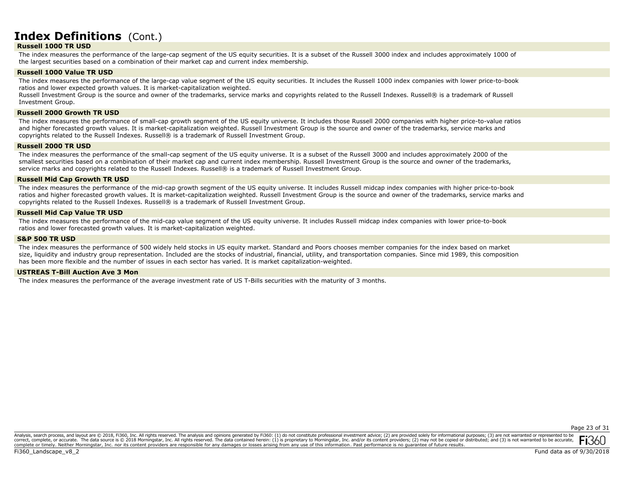## **Index Definitions** (Cont.)

## **Russell 1000 TR USD**

The index measures the performance of the large-cap segment of the US equity securities. It is a subset of the Russell 3000 index and includes approximately 1000 of the largest securities based on a combination of their market cap and current index membership.

## **Russell 1000 Value TR USD**

The index measures the performance of the large-cap value segment of the US equity securities. It includes the Russell 1000 index companies with lower price-to-book ratios and lower expected growth values. It is market-capitalization weighted.

Russell Investment Group is the source and owner of the trademarks, service marks and copyrights related to the Russell Indexes. Russell® is a trademark of Russell Investment Group.

#### **Russell 2000 Growth TR USD**

The index measures the performance of small-cap growth segment of the US equity universe. It includes those Russell 2000 companies with higher price-to-value ratios and higher forecasted growth values. It is market-capitalization weighted. Russell Investment Group is the source and owner of the trademarks, service marks and copyrights related to the Russell Indexes. Russell® is a trademark of Russell Investment Group.

### **Russell 2000 TR USD**

The index measures the performance of the small-cap segment of the US equity universe. It is a subset of the Russell 3000 and includes approximately 2000 of the smallest securities based on a combination of their market cap and current index membership. Russell Investment Group is the source and owner of the trademarks, service marks and copyrights related to the Russell Indexes. Russell® is a trademark of Russell Investment Group.

#### **Russell Mid Cap Growth TR USD**

The index measures the performance of the mid-cap growth segment of the US equity universe. It includes Russell midcap index companies with higher price-to-book ratios and higher forecasted growth values. It is market-capitalization weighted. Russell Investment Group is the source and owner of the trademarks, service marks and copyrights related to the Russell Indexes. Russell® is a trademark of Russell Investment Group.

### **Russell Mid Cap Value TR USD**

The index measures the performance of the mid-cap value segment of the US equity universe. It includes Russell midcap index companies with lower price-to-book ratios and lower forecasted growth values. It is market-capitalization weighted.

### **S&P 500 TR USD**

The index measures the performance of 500 widely held stocks in US equity market. Standard and Poors chooses member companies for the index based on market size, liquidity and industry group representation. Included are the stocks of industrial, financial, utility, and transportation companies. Since mid 1989, this composition has been more flexible and the number of issues in each sector has varied. It is market capitalization-weighted.

### **USTREAS T-Bill Auction Ave 3 Mon**

The index measures the performance of the average investment rate of US T-Bills securities with the maturity of 3 months.

Page 23 of 31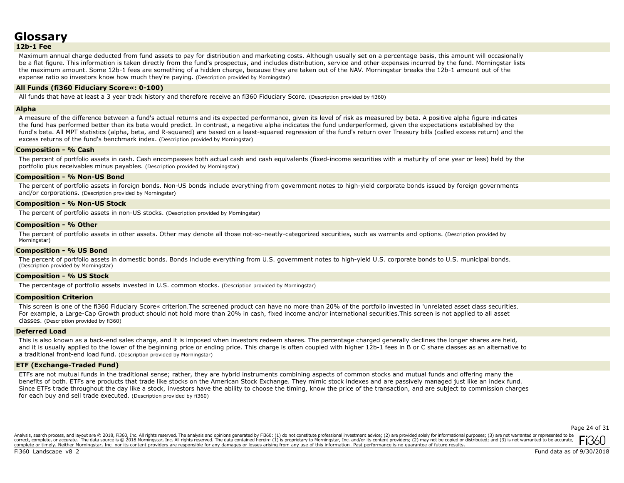# **Glossary**

**12b-1 Fee** 

Maximum annual charge deducted from fund assets to pay for distribution and marketing costs. Although usually set on a percentage basis, this amount will occasionally be a flat figure. This information is taken directly from the fund's prospectus, and includes distribution, service and other expenses incurred by the fund. Morningstar lists the maximum amount. Some 12b-1 fees are something of a hidden charge, because they are taken out of the NAV. Morningstar breaks the 12b-1 amount out of the expense ratio so investors know how much they're paying. (Description provided by Morningstar)

## **All Funds (fi360 Fiduciary Score«: 0-100)**

All funds that have at least a 3 year track history and therefore receive an fi360 Fiduciary Score. (Description provided by fi360)

## **Alpha**

A measure of the difference between a fund's actual returns and its expected performance, given its level of risk as measured by beta. A positive alpha figure indicates the fund has performed better than its beta would predict. In contrast, a negative alpha indicates the fund underperformed, given the expectations established by the fund's beta. All MPT statistics (alpha, beta, and R-squared) are based on a least-squared regression of the fund's return over Treasury bills (called excess return) and the excess returns of the fund's benchmark index. (Description provided by Morningstar)

## **Composition - % Cash**

The percent of portfolio assets in cash. Cash encompasses both actual cash and cash equivalents (fixed-income securities with a maturity of one year or less) held by the portfolio plus receivables minus payables. (Description provided by Morningstar)

## **Composition - % Non-US Bond**

The percent of portfolio assets in foreign bonds. Non-US bonds include everything from government notes to high-yield corporate bonds issued by foreign governments and/or corporations. (Description provided by Morningstar)

## **Composition - % Non-US Stock**

The percent of portfolio assets in non-US stocks. (Description provided by Morningstar)

## **Composition - % Other**

The percent of portfolio assets in other assets. Other may denote all those not-so-neatly-categorized securities, such as warrants and options. (Description provided by Morningstar)

## **Composition - % US Bond**

The percent of portfolio assets in domestic bonds. Bonds include everything from U.S. government notes to high-yield U.S. corporate bonds to U.S. municipal bonds. (Description provided by Morningstar)

### **Composition - % US Stock**

The percentage of portfolio assets invested in U.S. common stocks. (Description provided by Morningstar)

## **Composition Criterion**

This screen is one of the fi360 Fiduciary Score« criterion.The screened product can have no more than 20% of the portfolio invested in 'unrelated asset class securities. For example, a Large-Cap Growth product should not hold more than 20% in cash, fixed income and/or international securities.This screen is not applied to all asset classes. (Description provided by fi360)

### **Deferred Load**

This is also known as a back-end sales charge, and it is imposed when investors redeem shares. The percentage charged generally declines the longer shares are held, and it is usually applied to the lower of the beginning price or ending price. This charge is often coupled with higher 12b-1 fees in B or C share classes as an alternative to a traditional front-end load fund. (Description provided by Morningstar)

## **ETF (Exchange-Traded Fund)**

ETFs are not mutual funds in the traditional sense; rather, they are hybrid instruments combining aspects of common stocks and mutual funds and offering many the benefits of both. ETFs are products that trade like stocks on the American Stock Exchange. They mimic stock indexes and are passively managed just like an index fund. Since ETFs trade throughout the day like a stock, investors have the ability to choose the timing, know the price of the transaction, and are subject to commission charges for each buy and sell trade executed. (Description provided by fi360)

Page 24 of 31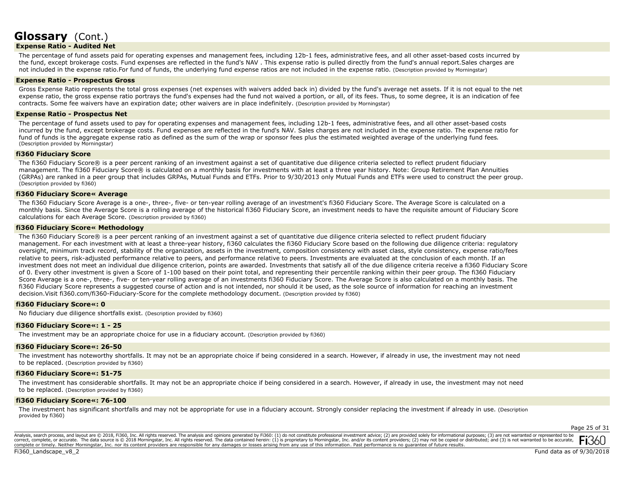## **Expense Ratio - Audited Net**

The percentage of fund assets paid for operating expenses and management fees, including 12b-1 fees, administrative fees, and all other asset-based costs incurred by the fund, except brokerage costs. Fund expenses are reflected in the fund's NAV . This expense ratio is pulled directly from the fund's annual report.Sales charges are not included in the expense ratio.For fund of funds, the underlying fund expense ratios are not included in the expense ratio. (Description provided by Morningstar)

## **Expense Ratio - Prospectus Gross**

Gross Expense Ratio represents the total gross expenses (net expenses with waivers added back in) divided by the fund's average net assets. If it is not equal to the net expense ratio, the gross expense ratio portrays the fund's expenses had the fund not waived a portion, or all, of its fees. Thus, to some degree, it is an indication of fee contracts. Some fee waivers have an expiration date; other waivers are in place indefinitely. (Description provided by Morningstar)

#### **Expense Ratio - Prospectus Net**

The percentage of fund assets used to pay for operating expenses and management fees, including 12b-1 fees, administrative fees, and all other asset-based costs incurred by the fund, except brokerage costs. Fund expenses are reflected in the fund's NAV. Sales charges are not included in the expense ratio. The expense ratio for fund of funds is the aggregate expense ratio as defined as the sum of the wrap or sponsor fees plus the estimated weighted average of the underlying fund fees. (Description provided by Morningstar)

## **fi360 Fiduciary Score**

The fi360 Fiduciary Score® is a peer percent ranking of an investment against a set of quantitative due diligence criteria selected to reflect prudent fiduciary management. The fi360 Fiduciary Score® is calculated on a monthly basis for investments with at least a three year history. Note: Group Retirement Plan Annuities (GRPAs) are ranked in a peer group that includes GRPAs, Mutual Funds and ETFs. Prior to 9/30/2013 only Mutual Funds and ETFs were used to construct the peer group. (Description provided by fi360)

### **fi360 Fiduciary Score« Average**

The fi360 Fiduciary Score Average is a one-, three-, five- or ten-year rolling average of an investment's fi360 Fiduciary Score. The Average Score is calculated on a monthly basis. Since the Average Score is a rolling average of the historical fi360 Fiduciary Score, an investment needs to have the requisite amount of Fiduciary Score calculations for each Average Score. (Description provided by fi360)

### **fi360 Fiduciary Score« Methodology**

The fi360 Fiduciary Score® is a peer percent ranking of an investment against a set of quantitative due diligence criteria selected to reflect prudent fiduciary management. For each investment with at least a three-year history, fi360 calculates the fi360 Fiduciary Score based on the following due diligence criteria: regulatory oversight, minimum track record, stability of the organization, assets in the investment, composition consistency with asset class, style consistency, expense ratio/fees relative to peers, risk-adjusted performance relative to peers, and performance relative to peers. Investments are evaluated at the conclusion of each month. If an investment does not meet an individual due diligence criterion, points are awarded. Investments that satisfy all of the due diligence criteria receive a fi360 Fiduciary Score of 0. Every other investment is given a Score of 1-100 based on their point total, and representing their percentile ranking within their peer group. The fi360 Fiduciary Score Average is a one-, three-, five- or ten-year rolling average of an investments fi360 Fiduciary Score. The Average Score is also calculated on a monthly basis. The fi360 Fiduciary Score represents a suggested course of action and is not intended, nor should it be used, as the sole source of information for reaching an investment decision.Visit fi360.com/fi360-Fiduciary-Score for the complete methodology document. (Description provided by fi360)

### **fi360 Fiduciary Score«: 0**

No fiduciary due diligence shortfalls exist. (Description provided by fi360)

### **fi360 Fiduciary Score«: 1 - 25**

The investment may be an appropriate choice for use in a fiduciary account. (Description provided by fi360)

### **fi360 Fiduciary Score«: 26-50**

The investment has noteworthy shortfalls. It may not be an appropriate choice if being considered in a search. However, if already in use, the investment may not need to be replaced. (Description provided by fi360)

## **fi360 Fiduciary Score«: 51-75**

The investment has considerable shortfalls. It may not be an appropriate choice if being considered in a search. However, if already in use, the investment may not need to be replaced. (Description provided by fi360)

## **fi360 Fiduciary Score«: 76-100**

The investment has significant shortfalls and may not be appropriate for use in a fiduciary account. Strongly consider replacing the investment if already in use. (Description provided by fi360)

Page 25 of 31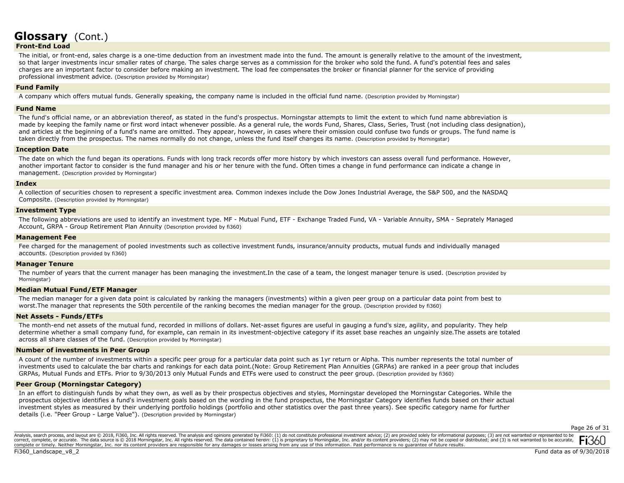## **Front-End Load**

The initial, or front-end, sales charge is a one-time deduction from an investment made into the fund. The amount is generally relative to the amount of the investment, so that larger investments incur smaller rates of charge. The sales charge serves as a commission for the broker who sold the fund. A fund's potential fees and sales charges are an important factor to consider before making an investment. The load fee compensates the broker or financial planner for the service of providing professional investment advice. (Description provided by Morningstar)

### **Fund Family**

A company which offers mutual funds. Generally speaking, the company name is included in the official fund name. (Description provided by Morningstar)

#### **Fund Name**

The fund's official name, or an abbreviation thereof, as stated in the fund's prospectus. Morningstar attempts to limit the extent to which fund name abbreviation is made by keeping the family name or first word intact whenever possible. As a general rule, the words Fund, Shares, Class, Series, Trust (not including class designation), and articles at the beginning of a fund's name are omitted. They appear, however, in cases where their omission could confuse two funds or groups. The fund name is taken directly from the prospectus. The names normally do not change, unless the fund itself changes its name. (Description provided by Morningstar)

### **Inception Date**

The date on which the fund began its operations. Funds with long track records offer more history by which investors can assess overall fund performance. However, another important factor to consider is the fund manager and his or her tenure with the fund. Often times a change in fund performance can indicate a change in management. (Description provided by Morningstar)

#### **Index**

A collection of securities chosen to represent a specific investment area. Common indexes include the Dow Jones Industrial Average, the S&P 500, and the NASDAQ Composite. (Description provided by Morningstar)

#### **Investment Type**

The following abbreviations are used to identify an investment type. MF - Mutual Fund, ETF - Exchange Traded Fund, VA - Variable Annuity, SMA - Seprately Managed Account, GRPA - Group Retirement Plan Annuity (Description provided by fi360)

## **Management Fee**

Fee charged for the management of pooled investments such as collective investment funds, insurance/annuity products, mutual funds and individually managed accounts. (Description provided by fi360)

#### **Manager Tenure**

The number of years that the current manager has been managing the investment.In the case of a team, the longest manager tenure is used. (Description provided by Morningstar)

## **Median Mutual Fund/ETF Manager**

The median manager for a given data point is calculated by ranking the managers (investments) within a given peer group on a particular data point from best to worst.The manager that represents the 50th percentile of the ranking becomes the median manager for the group. (Description provided by fi360)

### **Net Assets - Funds/ETFs**

The month-end net assets of the mutual fund, recorded in millions of dollars. Net-asset figures are useful in gauging a fund's size, agility, and popularity. They help determine whether a small company fund, for example, can remain in its investment-objective category if its asset base reaches an ungainly size.The assets are totaled across all share classes of the fund. (Description provided by Morningstar)

### **Number of investments in Peer Group**

A count of the number of investments within a specific peer group for a particular data point such as 1yr return or Alpha. This number represents the total number of investments used to calculate the bar charts and rankings for each data point.(Note: Group Retirement Plan Annuities (GRPAs) are ranked in a peer group that includes GRPAs, Mutual Funds and ETFs. Prior to 9/30/2013 only Mutual Funds and ETFs were used to construct the peer group. (Description provided by fi360)

### **Peer Group (Morningstar Category)**

In an effort to distinguish funds by what they own, as well as by their prospectus objectives and styles, Morningstar developed the Morningstar Categories. While the prospectus objective identifies a fund's investment goals based on the wording in the fund prospectus, the Morningstar Category identifies funds based on their actual investment styles as measured by their underlying portfolio holdings (portfolio and other statistics over the past three years). See specific category name for further details (i.e. "Peer Group - Large Value"). (Description provided by Morningstar)

Page 26 of 31

Analysis, search process, and layout are © 2018, Fi360, Inc. All rights reserved. The analysis and opinions generated by Fi360: (1) do not constitute professional investment advice; (2) are provided solely for informationa correct, complete, or accurate. The data source is © 2018 Morningstar, Inc. All rights reserved. The data contained herein: (1) is proprietary to Morningstar, Inc. and/or its content providers; (2) may not be copied or dis complete or timely. Neither Morningstar, Inc. nor its content providers are responsible for any damages or losses arising from any use of this information. Past performance is no guarantee of future results.

Fi360 Landscape v8 2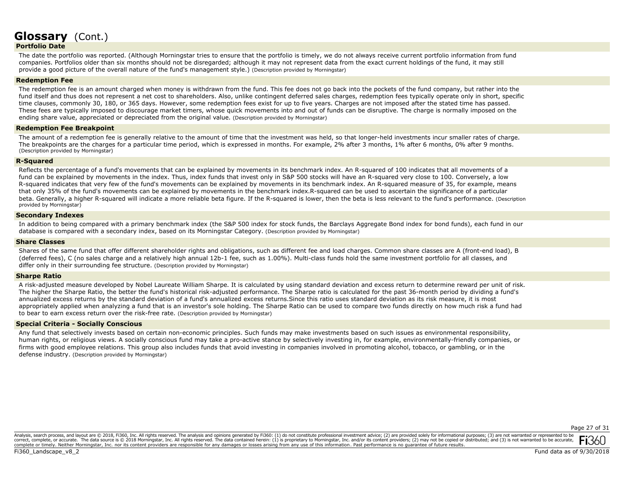## **Portfolio Date**

The date the portfolio was reported. (Although Morningstar tries to ensure that the portfolio is timely, we do not always receive current portfolio information from fund companies. Portfolios older than six months should not be disregarded; although it may not represent data from the exact current holdings of the fund, it may still provide a good picture of the overall nature of the fund's management style.) (Description provided by Morningstar)

## **Redemption Fee**

The redemption fee is an amount charged when money is withdrawn from the fund. This fee does not go back into the pockets of the fund company, but rather into the fund itself and thus does not represent a net cost to shareholders. Also, unlike contingent deferred sales charges, redemption fees typically operate only in short, specific time clauses, commonly 30, 180, or 365 days. However, some redemption fees exist for up to five years. Charges are not imposed after the stated time has passed. These fees are typically imposed to discourage market timers, whose quick movements into and out of funds can be disruptive. The charge is normally imposed on the ending share value, appreciated or depreciated from the original value. (Description provided by Morningstar)

## **Redemption Fee Breakpoint**

The amount of a redemption fee is generally relative to the amount of time that the investment was held, so that longer-held investments incur smaller rates of charge. The breakpoints are the charges for a particular time period, which is expressed in months. For example, 2% after 3 months, 1% after 6 months, 0% after 9 months. (Description provided by Morningstar)

### **R-Squared**

Reflects the percentage of a fund's movements that can be explained by movements in its benchmark index. An R-squared of 100 indicates that all movements of a fund can be explained by movements in the index. Thus, index funds that invest only in S&P 500 stocks will have an R-squared very close to 100. Conversely, a low R-squared indicates that very few of the fund's movements can be explained by movements in its benchmark index. An R-squared measure of 35, for example, means that only 35% of the fund's movements can be explained by movements in the benchmark index.R-squared can be used to ascertain the significance of a particular beta. Generally, a higher R-squared will indicate a more reliable beta figure. If the R-squared is lower, then the beta is less relevant to the fund's performance. (Description provided by Morningstar)

#### **Secondary Indexes**

In addition to being compared with a primary benchmark index (the S&P 500 index for stock funds, the Barclays Aggregate Bond index for bond funds), each fund in our database is compared with a secondary index, based on its Morningstar Category. (Description provided by Morningstar)

### **Share Classes**

Shares of the same fund that offer different shareholder rights and obligations, such as different fee and load charges. Common share classes are A (front-end load), B (deferred fees), C (no sales charge and a relatively high annual 12b-1 fee, such as 1.00%). Multi-class funds hold the same investment portfolio for all classes, and differ only in their surrounding fee structure. (Description provided by Morningstar)

### **Sharpe Ratio**

A risk-adjusted measure developed by Nobel Laureate William Sharpe. It is calculated by using standard deviation and excess return to determine reward per unit of risk. The higher the Sharpe Ratio, the better the fund's historical risk-adjusted performance. The Sharpe ratio is calculated for the past 36-month period by dividing a fund's annualized excess returns by the standard deviation of a fund's annualized excess returns.Since this ratio uses standard deviation as its risk measure, it is most appropriately applied when analyzing a fund that is an investor's sole holding. The Sharpe Ratio can be used to compare two funds directly on how much risk a fund had to bear to earn excess return over the risk-free rate. (Description provided by Morningstar)

### **Special Criteria - Socially Conscious**

Any fund that selectively invests based on certain non-economic principles. Such funds may make investments based on such issues as environmental responsibility, human rights, or religious views. A socially conscious fund may take a pro-active stance by selectively investing in, for example, environmentally-friendly companies, or firms with good employee relations. This group also includes funds that avoid investing in companies involved in promoting alcohol, tobacco, or gambling, or in the defense industry. (Description provided by Morningstar)

#### Page 27 of 31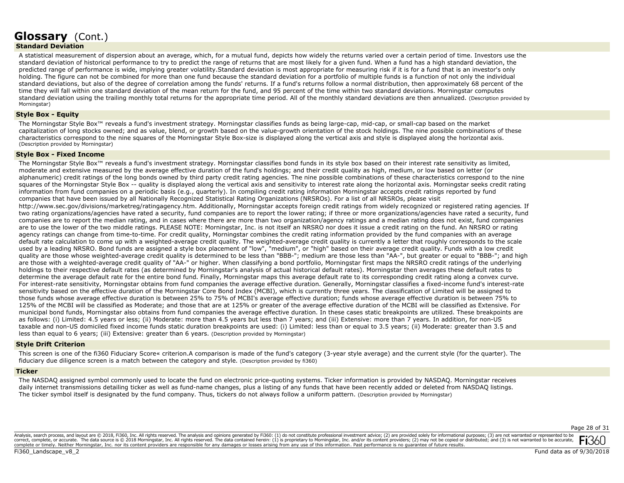## **Standard Deviation**

A statistical measurement of dispersion about an average, which, for a mutual fund, depicts how widely the returns varied over a certain period of time. Investors use the standard deviation of historical performance to try to predict the range of returns that are most likely for a given fund. When a fund has a high standard deviation, the predicted range of performance is wide, implying greater volatility.Standard deviation is most appropriate for measuring risk if it is for a fund that is an investor's only holding. The figure can not be combined for more than one fund because the standard deviation for a portfolio of multiple funds is a function of not only the individual standard deviations, but also of the degree of correlation among the funds' returns. If a fund's returns follow a normal distribution, then approximately 68 percent of the time they will fall within one standard deviation of the mean return for the fund, and 95 percent of the time within two standard deviations. Morningstar computes standard deviation using the trailing monthly total returns for the appropriate time period. All of the monthly standard deviations are then annualized. (Description provided by Morningstar)

## **Style Box - Equity**

The Morningstar Style Box™ reveals a fund's investment strategy. Morningstar classifies funds as being large-cap, mid-cap, or small-cap based on the market capitalization of long stocks owned; and as value, blend, or growth based on the value-growth orientation of the stock holdings. The nine possible combinations of these characteristics correspond to the nine squares of the Morningstar Style Box-size is displayed along the vertical axis and style is displayed along the horizontal axis. (Description provided by Morningstar)

#### **Style Box - Fixed Income**

The Morningstar Style Box™ reveals a fund's investment strategy. Morningstar classifies bond funds in its style box based on their interest rate sensitivity as limited, moderate and extensive measured by the average effective duration of the fund's holdings; and their credit quality as high, medium, or low based on letter (or alphanumeric) credit ratings of the long bonds owned by third party credit rating agencies. The nine possible combinations of these characteristics correspond to the nine squares of the Morningstar Style Box -- quality is displayed along the vertical axis and sensitivity to interest rate along the horizontal axis. Morningstar seeks credit rating information from fund companies on a periodic basis (e.g., quarterly). In compiling credit rating information Morningstar accepts credit ratings reported by fund companies that have been issued by all Nationally Recognized Statistical Rating Organizations (NRSROs). For a list of all NRSROs, please visit http://www.sec.gov/divisions/marketreg/ratingagency.htm. Additionally, Morningstar accepts foreign credit ratings from widely recognized or registered rating agencies. If two rating organizations/agencies have rated a security, fund companies are to report the lower rating; if three or more organizations/agencies have rated a security, fund companies are to report the median rating, and in cases where there are more than two organization/agency ratings and a median rating does not exist, fund companies are to use the lower of the two middle ratings. PLEASE NOTE: Morningstar, Inc. is not itself an NRSRO nor does it issue a credit rating on the fund. An NRSRO or rating agency ratings can change from time-to-time. For credit quality, Morningstar combines the credit rating information provided by the fund companies with an average default rate calculation to come up with a weighted-average credit quality. The weighted-average credit quality is currently a letter that roughly corresponds to the scale used by a leading NRSRO. Bond funds are assigned a style box placement of "low", "medium", or "high" based on their average credit quality. Funds with a low credit quality are those whose weighted-average credit quality is determined to be less than "BBB-"; medium are those less than "AA-", but greater or equal to "BBB-"; and high are those with a weighted-average credit quality of "AA-" or higher. When classifying a bond portfolio, Morningstar first maps the NRSRO credit ratings of the underlying holdings to their respective default rates (as determined by Morningstar's analysis of actual historical default rates). Morningstar then averages these default rates to determine the average default rate for the entire bond fund. Finally, Morningstar maps this average default rate to its corresponding credit rating along a convex curve. For interest-rate sensitivity, Morningstar obtains from fund companies the average effective duration. Generally, Morningstar classifies a fixed-income fund's interest-rate sensitivity based on the effective duration of the Morningstar Core Bond Index (MCBI), which is currently three years. The classification of Limited will be assigned to those funds whose average effective duration is between 25% to 75% of MCBI's average effective duration; funds whose average effective duration is between 75% to 125% of the MCBI will be classified as Moderate; and those that are at 125% or greater of the average effective duration of the MCBI will be classified as Extensive. For municipal bond funds, Morningstar also obtains from fund companies the average effective duration. In these cases static breakpoints are utilized. These breakpoints are as follows: (i) Limited: 4.5 years or less; (ii) Moderate: more than 4.5 years but less than 7 years; and (iii) Extensive: more than 7 years. In addition, for non-US taxable and non-US domiciled fixed income funds static duration breakpoints are used: (i) Limited: less than or equal to 3.5 years; (ii) Moderate: greater than 3.5 and less than equal to 6 years; (iii) Extensive: greater than 6 years. (Description provided by Morningstar)

## **Style Drift Criterion**

This screen is one of the fi360 Fiduciary Score« criterion.A comparison is made of the fund's category (3-year style average) and the current style (for the quarter). The fiduciary due diligence screen is a match between the category and style. (Description provided by fi360)

## **Ticker**

The NASDAQ assigned symbol commonly used to locate the fund on electronic price-quoting systems. Ticker information is provided by NASDAQ. Morningstar receives daily internet transmissions detailing ticker as well as fund-name changes, plus a listing of any funds that have been recently added or deleted from NASDAQ listings. The ticker symbol itself is designated by the fund company. Thus, tickers do not always follow a uniform pattern. (Description provided by Morningstar)

Analysis, search process, and layout are © 2018, Fi360, Inc. All rights reserved. The analysis and opinions generated by Fi360: (1) do not constitute professional investment advice; (2) are provided solely for informationa correct, complete, or accurate. The data source is © 2018 Morningstar, Inc. All rights reserved. The data contained herein: (1) is proprietary to Morningstar, Inc. and/or its content providers; (2) may not be copied or dis complete or timely. Neither Morningstar, Inc. nor its content providers are responsible for any damages or losses arising from any use of this information. Past performance is no guarantee of future results.

Page 28 of 31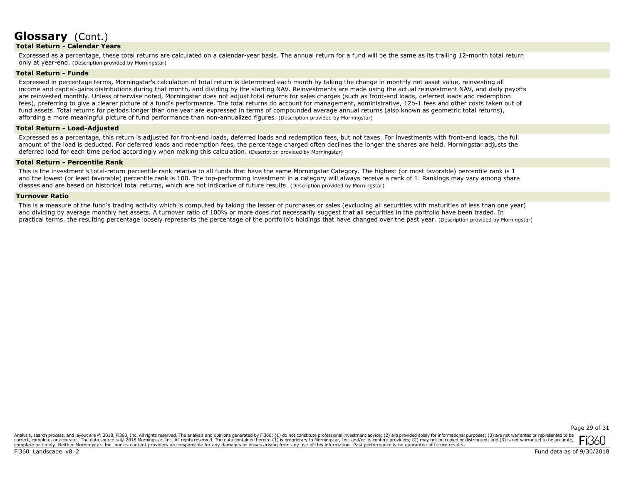## **Total Return - Calendar Years**

Expressed as a percentage, these total returns are calculated on a calendar-year basis. The annual return for a fund will be the same as its trailing 12-month total return only at year-end. (Description provided by Morningstar)

## **Total Return - Funds**

Expressed in percentage terms, Morningstar's calculation of total return is determined each month by taking the change in monthly net asset value, reinvesting all income and capital-gains distributions during that month, and dividing by the starting NAV. Reinvestments are made using the actual reinvestment NAV, and daily payoffs are reinvested monthly. Unless otherwise noted, Morningstar does not adjust total returns for sales charges (such as front-end loads, deferred loads and redemption fees), preferring to give a clearer picture of a fund's performance. The total returns do account for management, administrative, 12b-1 fees and other costs taken out of fund assets. Total returns for periods longer than one year are expressed in terms of compounded average annual returns (also known as geometric total returns), affording a more meaningful picture of fund performance than non-annualized figures. (Description provided by Morningstar)

## **Total Return - Load-Adjusted**

Expressed as a percentage, this return is adjusted for front-end loads, deferred loads and redemption fees, but not taxes. For investments with front-end loads, the full amount of the load is deducted. For deferred loads and redemption fees, the percentage charged often declines the longer the shares are held. Morningstar adjusts the deferred load for each time period accordingly when making this calculation. (Description provided by Morningstar)

## **Total Return - Percentile Rank**

This is the investment's total-return percentile rank relative to all funds that have the same Morningstar Category. The highest (or most favorable) percentile rank is 1 and the lowest (or least favorable) percentile rank is 100. The top-performing investment in a category will always receive a rank of 1. Rankings may vary among share classes and are based on historical total returns, which are not indicative of future results. (Description provided by Morningstar)

### **Turnover Ratio**

This is a measure of the fund's trading activity which is computed by taking the lesser of purchases or sales (excluding all securities with maturities of less than one year) and dividing by average monthly net assets. A turnover ratio of 100% or more does not necessarily suggest that all securities in the portfolio have been traded. In practical terms, the resulting percentage loosely represents the percentage of the portfolio's holdings that have changed over the past year. (Description provided by Morningstar)

Analysis, search process, and layout are © 2018, Fi360, Inc. All rights reserved. The analysis and opinions generated by Fi360: (1) do not constitute professional investment advice; (2) are provided solely for informationa correct, complete, or accurate. The data source is © 2018 Morningstar, Inc. All rights reserved. The data contained herein: (1) is proprietary to Morningstar, Inc. and/or its content providers; (2) may not be copied or dis complete or timely. Neither Morningstar, Inc. nor its content providers are responsible for any damages or losses arising from any use of this information. Past performance is no guarantee of future results.

Fi360 Landscape v8 2

Page 29 of 31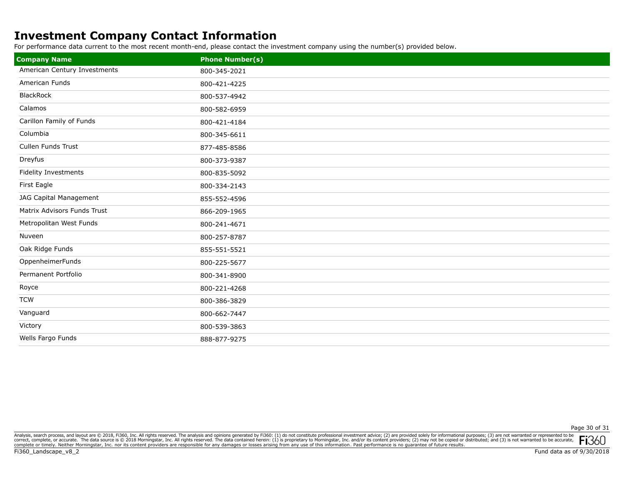## **Investment Company Contact Information**

For performance data current to the most recent month-end, please contact the investment company using the number(s) provided below.

| <b>Company Name</b>          | <b>Phone Number(s)</b> |
|------------------------------|------------------------|
| American Century Investments | 800-345-2021           |
| American Funds               | 800-421-4225           |
| <b>BlackRock</b>             | 800-537-4942           |
| Calamos                      | 800-582-6959           |
| Carillon Family of Funds     | 800-421-4184           |
| Columbia                     | 800-345-6611           |
| Cullen Funds Trust           | 877-485-8586           |
| Dreyfus                      | 800-373-9387           |
| Fidelity Investments         | 800-835-5092           |
| First Eagle                  | 800-334-2143           |
| JAG Capital Management       | 855-552-4596           |
| Matrix Advisors Funds Trust  | 866-209-1965           |
| Metropolitan West Funds      | 800-241-4671           |
| Nuveen                       | 800-257-8787           |
| Oak Ridge Funds              | 855-551-5521           |
| OppenheimerFunds             | 800-225-5677           |
| Permanent Portfolio          | 800-341-8900           |
| Royce                        | 800-221-4268           |
| <b>TCW</b>                   | 800-386-3829           |
| Vanguard                     | 800-662-7447           |
| Victory                      | 800-539-3863           |
| Wells Fargo Funds            | 888-877-9275           |

Analysis, search process, and layout are @ 2018, Fi360, Inc. All rights reserved. The analysis and opinions generated by Fi360: (1) do not constitute professional investment advice; (2) are provided solely for informationa correct, complete, or accurate. The data source is © 2018 Morningstar, Inc. All rights reserved. The data contained herein: (1) is proprietary to Morningstar, Inc. and/or its content providers, (2) may not be copied or dis **FI**JOU

Fi360\_Landscape\_v8\_2

Page 30 of 31